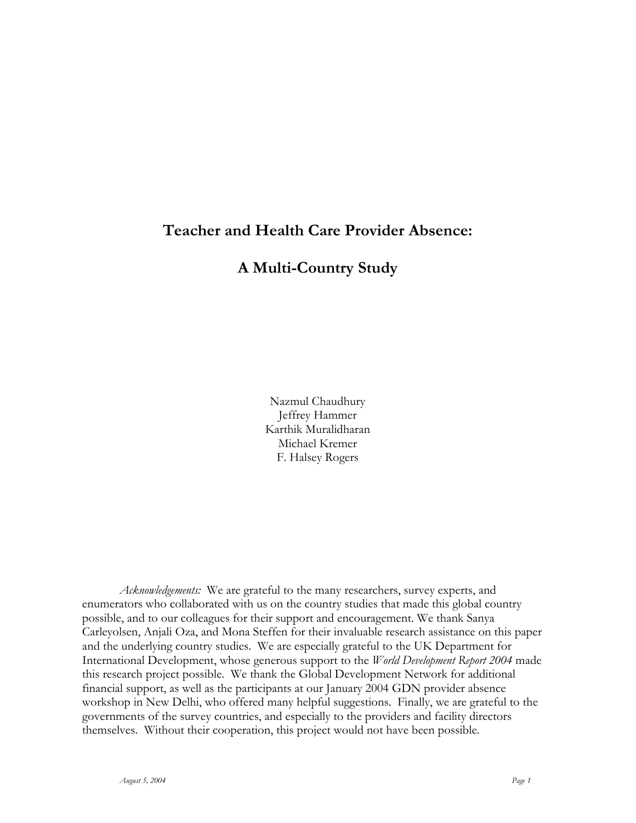## **Teacher and Health Care Provider Absence:**

## **A Multi-Country Study**

Nazmul Chaudhury Jeffrey Hammer Karthik Muralidharan Michael Kremer F. Halsey Rogers

*Acknowledgements:* We are grateful to the many researchers, survey experts, and enumerators who collaborated with us on the country studies that made this global country possible, and to our colleagues for their support and encouragement. We thank Sanya Carleyolsen, Anjali Oza, and Mona Steffen for their invaluable research assistance on this paper and the underlying country studies. We are especially grateful to the UK Department for International Development, whose generous support to the *World Development Report 2004* made this research project possible. We thank the Global Development Network for additional financial support, as well as the participants at our January 2004 GDN provider absence workshop in New Delhi, who offered many helpful suggestions. Finally, we are grateful to the governments of the survey countries, and especially to the providers and facility directors themselves. Without their cooperation, this project would not have been possible.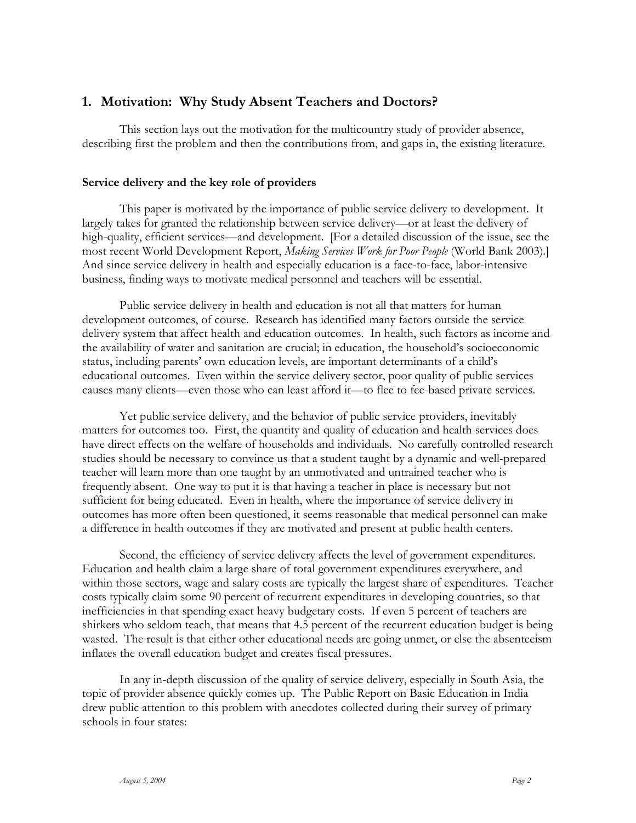### **1. Motivation: Why Study Absent Teachers and Doctors?**

This section lays out the motivation for the multicountry study of provider absence, describing first the problem and then the contributions from, and gaps in, the existing literature.

#### **Service delivery and the key role of providers**

This paper is motivated by the importance of public service delivery to development. It largely takes for granted the relationship between service delivery—or at least the delivery of high-quality, efficient services—and development. [For a detailed discussion of the issue, see the most recent World Development Report, *Making Services Work for Poor People* (World Bank 2003)*.*] And since service delivery in health and especially education is a face-to-face, labor-intensive business, finding ways to motivate medical personnel and teachers will be essential.

Public service delivery in health and education is not all that matters for human development outcomes, of course. Research has identified many factors outside the service delivery system that affect health and education outcomes. In health, such factors as income and the availability of water and sanitation are crucial; in education, the household's socioeconomic status, including parents' own education levels, are important determinants of a child's educational outcomes. Even within the service delivery sector, poor quality of public services causes many clients—even those who can least afford it—to flee to fee-based private services.

Yet public service delivery, and the behavior of public service providers, inevitably matters for outcomes too. First, the quantity and quality of education and health services does have direct effects on the welfare of households and individuals. No carefully controlled research studies should be necessary to convince us that a student taught by a dynamic and well-prepared teacher will learn more than one taught by an unmotivated and untrained teacher who is frequently absent. One way to put it is that having a teacher in place is necessary but not sufficient for being educated. Even in health, where the importance of service delivery in outcomes has more often been questioned, it seems reasonable that medical personnel can make a difference in health outcomes if they are motivated and present at public health centers.

Second, the efficiency of service delivery affects the level of government expenditures. Education and health claim a large share of total government expenditures everywhere, and within those sectors, wage and salary costs are typically the largest share of expenditures. Teacher costs typically claim some 90 percent of recurrent expenditures in developing countries, so that inefficiencies in that spending exact heavy budgetary costs. If even 5 percent of teachers are shirkers who seldom teach, that means that 4.5 percent of the recurrent education budget is being wasted. The result is that either other educational needs are going unmet, or else the absenteeism inflates the overall education budget and creates fiscal pressures.

In any in-depth discussion of the quality of service delivery, especially in South Asia, the topic of provider absence quickly comes up. The Public Report on Basic Education in India drew public attention to this problem with anecdotes collected during their survey of primary schools in four states: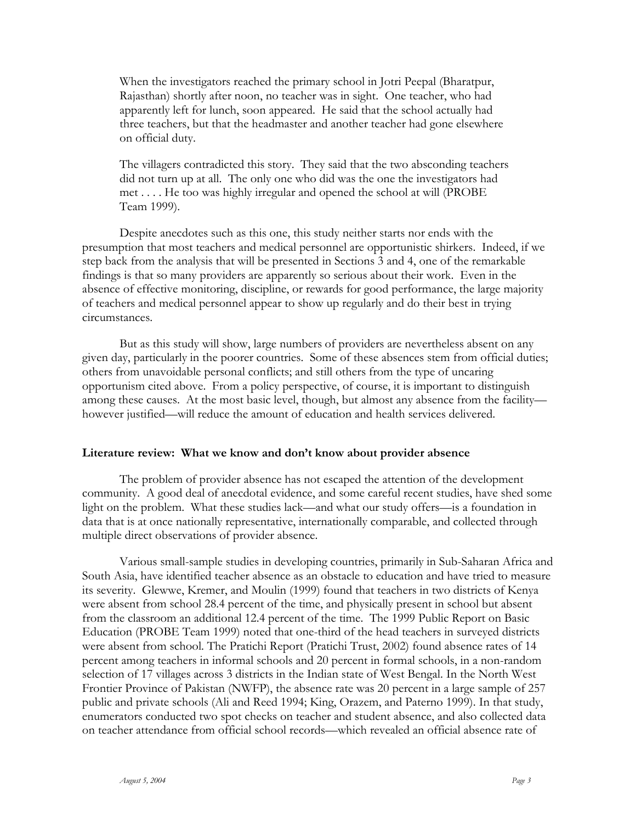When the investigators reached the primary school in Jotri Peepal (Bharatpur, Rajasthan) shortly after noon, no teacher was in sight. One teacher, who had apparently left for lunch, soon appeared. He said that the school actually had three teachers, but that the headmaster and another teacher had gone elsewhere on official duty.

The villagers contradicted this story. They said that the two absconding teachers did not turn up at all. The only one who did was the one the investigators had met . . . . He too was highly irregular and opened the school at will (PROBE Team 1999).

Despite anecdotes such as this one, this study neither starts nor ends with the presumption that most teachers and medical personnel are opportunistic shirkers. Indeed, if we step back from the analysis that will be presented in Sections 3 and 4, one of the remarkable findings is that so many providers are apparently so serious about their work. Even in the absence of effective monitoring, discipline, or rewards for good performance, the large majority of teachers and medical personnel appear to show up regularly and do their best in trying circumstances.

But as this study will show, large numbers of providers are nevertheless absent on any given day, particularly in the poorer countries. Some of these absences stem from official duties; others from unavoidable personal conflicts; and still others from the type of uncaring opportunism cited above. From a policy perspective, of course, it is important to distinguish among these causes. At the most basic level, though, but almost any absence from the facility however justified—will reduce the amount of education and health services delivered.

#### **Literature review: What we know and don't know about provider absence**

The problem of provider absence has not escaped the attention of the development community. A good deal of anecdotal evidence, and some careful recent studies, have shed some light on the problem. What these studies lack—and what our study offers—is a foundation in data that is at once nationally representative, internationally comparable, and collected through multiple direct observations of provider absence.

Various small-sample studies in developing countries, primarily in Sub-Saharan Africa and South Asia, have identified teacher absence as an obstacle to education and have tried to measure its severity. Glewwe, Kremer, and Moulin (1999) found that teachers in two districts of Kenya were absent from school 28.4 percent of the time, and physically present in school but absent from the classroom an additional 12.4 percent of the time. The 1999 Public Report on Basic Education (PROBE Team 1999) noted that one-third of the head teachers in surveyed districts were absent from school. The Pratichi Report (Pratichi Trust, 2002) found absence rates of 14 percent among teachers in informal schools and 20 percent in formal schools, in a non-random selection of 17 villages across 3 districts in the Indian state of West Bengal. In the North West Frontier Province of Pakistan (NWFP), the absence rate was 20 percent in a large sample of 257 public and private schools (Ali and Reed 1994; King, Orazem, and Paterno 1999). In that study, enumerators conducted two spot checks on teacher and student absence, and also collected data on teacher attendance from official school records—which revealed an official absence rate of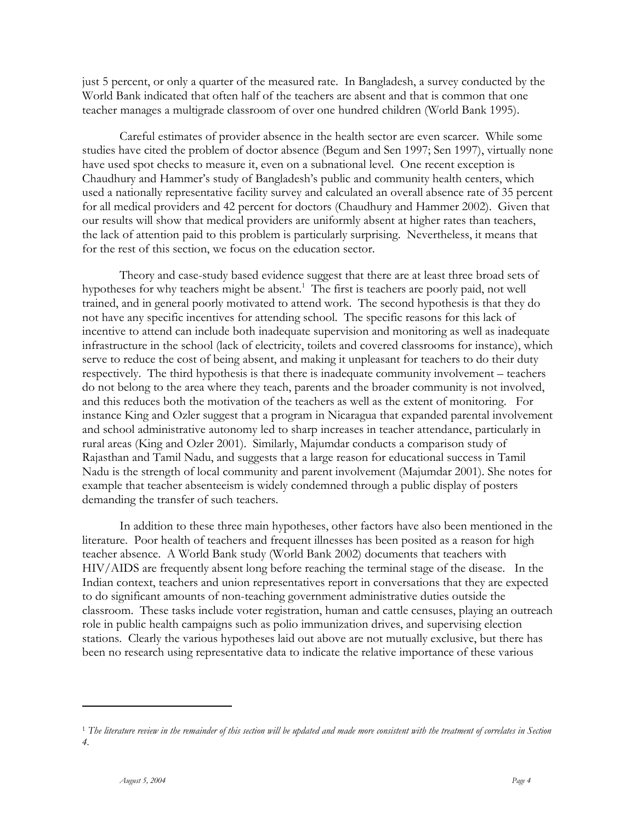just 5 percent, or only a quarter of the measured rate. In Bangladesh, a survey conducted by the World Bank indicated that often half of the teachers are absent and that is common that one teacher manages a multigrade classroom of over one hundred children (World Bank 1995).

Careful estimates of provider absence in the health sector are even scarcer. While some studies have cited the problem of doctor absence (Begum and Sen 1997; Sen 1997), virtually none have used spot checks to measure it, even on a subnational level. One recent exception is Chaudhury and Hammer's study of Bangladesh's public and community health centers, which used a nationally representative facility survey and calculated an overall absence rate of 35 percent for all medical providers and 42 percent for doctors (Chaudhury and Hammer 2002). Given that our results will show that medical providers are uniformly absent at higher rates than teachers, the lack of attention paid to this problem is particularly surprising. Nevertheless, it means that for the rest of this section, we focus on the education sector.

Theory and case-study based evidence suggest that there are at least three broad sets of hypotheses for why teachers might be absent.<sup>1</sup> The first is teachers are poorly paid, not well trained, and in general poorly motivated to attend work. The second hypothesis is that they do not have any specific incentives for attending school. The specific reasons for this lack of incentive to attend can include both inadequate supervision and monitoring as well as inadequate infrastructure in the school (lack of electricity, toilets and covered classrooms for instance), which serve to reduce the cost of being absent, and making it unpleasant for teachers to do their duty respectively. The third hypothesis is that there is inadequate community involvement – teachers do not belong to the area where they teach, parents and the broader community is not involved, and this reduces both the motivation of the teachers as well as the extent of monitoring. For instance King and Ozler suggest that a program in Nicaragua that expanded parental involvement and school administrative autonomy led to sharp increases in teacher attendance, particularly in rural areas (King and Ozler 2001). Similarly, Majumdar conducts a comparison study of Rajasthan and Tamil Nadu, and suggests that a large reason for educational success in Tamil Nadu is the strength of local community and parent involvement (Majumdar 2001). She notes for example that teacher absenteeism is widely condemned through a public display of posters demanding the transfer of such teachers.

In addition to these three main hypotheses, other factors have also been mentioned in the literature. Poor health of teachers and frequent illnesses has been posited as a reason for high teacher absence. A World Bank study (World Bank 2002) documents that teachers with HIV/AIDS are frequently absent long before reaching the terminal stage of the disease. In the Indian context, teachers and union representatives report in conversations that they are expected to do significant amounts of non-teaching government administrative duties outside the classroom. These tasks include voter registration, human and cattle censuses, playing an outreach role in public health campaigns such as polio immunization drives, and supervising election stations. Clearly the various hypotheses laid out above are not mutually exclusive, but there has been no research using representative data to indicate the relative importance of these various

<sup>1</sup> *The literature review in the remainder of this section will be updated and made more consistent with the treatment of correlates in Section 4.*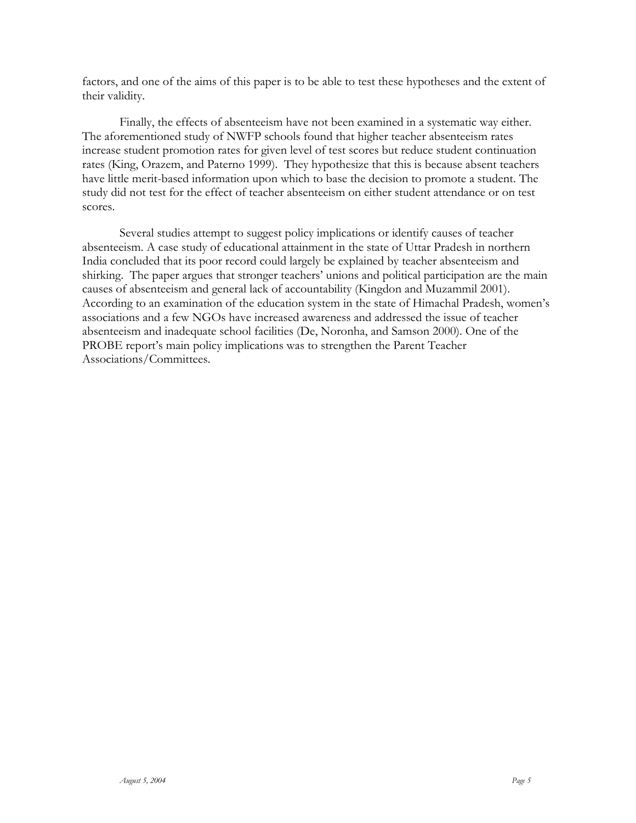factors, and one of the aims of this paper is to be able to test these hypotheses and the extent of their validity.

Finally, the effects of absenteeism have not been examined in a systematic way either. The aforementioned study of NWFP schools found that higher teacher absenteeism rates increase student promotion rates for given level of test scores but reduce student continuation rates (King, Orazem, and Paterno 1999). They hypothesize that this is because absent teachers have little merit-based information upon which to base the decision to promote a student. The study did not test for the effect of teacher absenteeism on either student attendance or on test scores.

Several studies attempt to suggest policy implications or identify causes of teacher absenteeism. A case study of educational attainment in the state of Uttar Pradesh in northern India concluded that its poor record could largely be explained by teacher absenteeism and shirking. The paper argues that stronger teachers' unions and political participation are the main causes of absenteeism and general lack of accountability (Kingdon and Muzammil 2001). According to an examination of the education system in the state of Himachal Pradesh, women's associations and a few NGOs have increased awareness and addressed the issue of teacher absenteeism and inadequate school facilities (De, Noronha, and Samson 2000). One of the PROBE report's main policy implications was to strengthen the Parent Teacher Associations/Committees.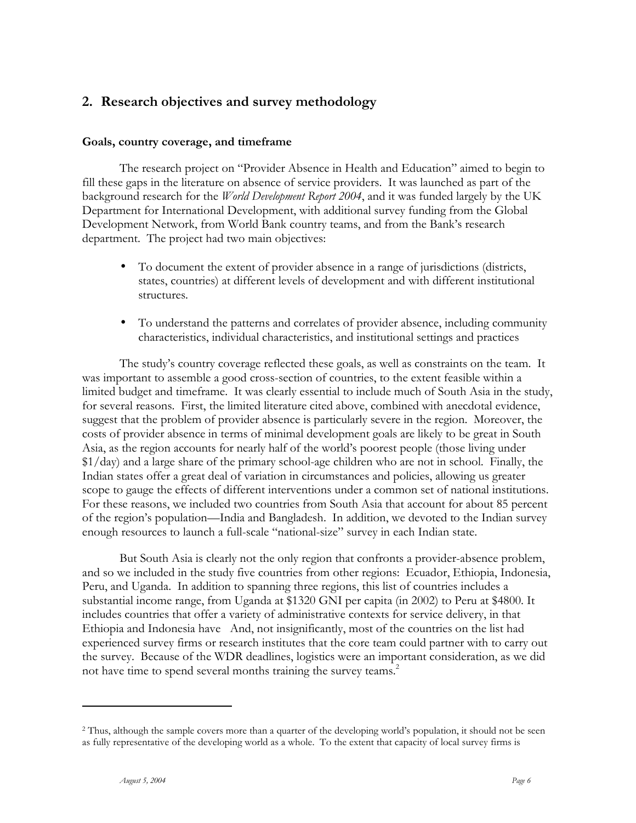## **2. Research objectives and survey methodology**

#### **Goals, country coverage, and timeframe**

The research project on "Provider Absence in Health and Education" aimed to begin to fill these gaps in the literature on absence of service providers. It was launched as part of the background research for the *World Development Report 2004*, and it was funded largely by the UK Department for International Development, with additional survey funding from the Global Development Network, from World Bank country teams, and from the Bank's research department. The project had two main objectives:

- To document the extent of provider absence in a range of jurisdictions (districts, states, countries) at different levels of development and with different institutional structures.
- To understand the patterns and correlates of provider absence, including community characteristics, individual characteristics, and institutional settings and practices

The study's country coverage reflected these goals, as well as constraints on the team. It was important to assemble a good cross-section of countries, to the extent feasible within a limited budget and timeframe. It was clearly essential to include much of South Asia in the study, for several reasons. First, the limited literature cited above, combined with anecdotal evidence, suggest that the problem of provider absence is particularly severe in the region. Moreover, the costs of provider absence in terms of minimal development goals are likely to be great in South Asia, as the region accounts for nearly half of the world's poorest people (those living under \$1/day) and a large share of the primary school-age children who are not in school. Finally, the Indian states offer a great deal of variation in circumstances and policies, allowing us greater scope to gauge the effects of different interventions under a common set of national institutions. For these reasons, we included two countries from South Asia that account for about 85 percent of the region's population—India and Bangladesh. In addition, we devoted to the Indian survey enough resources to launch a full-scale "national-size" survey in each Indian state.

But South Asia is clearly not the only region that confronts a provider-absence problem, and so we included in the study five countries from other regions: Ecuador, Ethiopia, Indonesia, Peru, and Uganda. In addition to spanning three regions, this list of countries includes a substantial income range, from Uganda at \$1320 GNI per capita (in 2002) to Peru at \$4800. It includes countries that offer a variety of administrative contexts for service delivery, in that Ethiopia and Indonesia have And, not insignificantly, most of the countries on the list had experienced survey firms or research institutes that the core team could partner with to carry out the survey. Because of the WDR deadlines, logistics were an important consideration, as we did not have time to spend several months training the survey teams.<sup>2</sup>

<sup>&</sup>lt;sup>2</sup> Thus, although the sample covers more than a quarter of the developing world's population, it should not be seen as fully representative of the developing world as a whole. To the extent that capacity of local survey firms is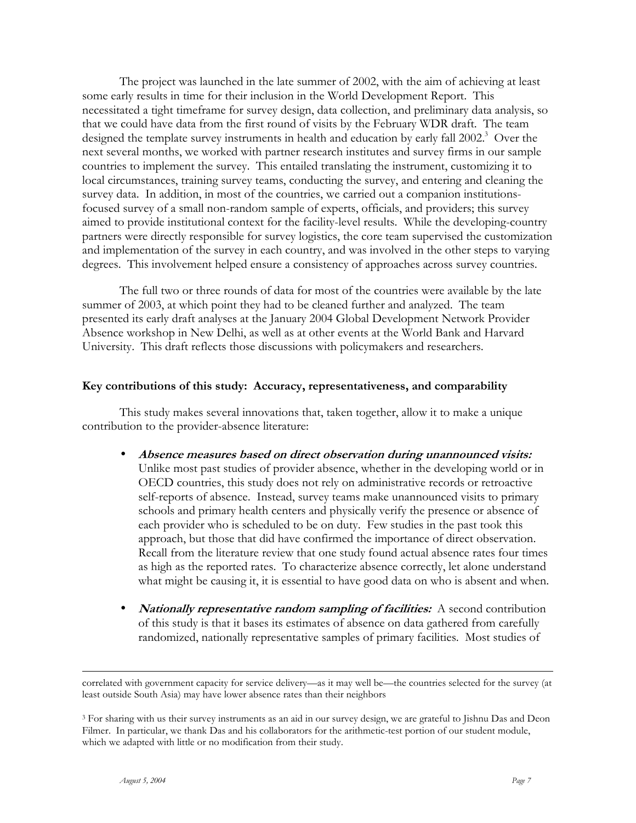The project was launched in the late summer of 2002, with the aim of achieving at least some early results in time for their inclusion in the World Development Report. This necessitated a tight timeframe for survey design, data collection, and preliminary data analysis, so that we could have data from the first round of visits by the February WDR draft. The team designed the template survey instruments in health and education by early fall 2002.<sup>3</sup> Over the next several months, we worked with partner research institutes and survey firms in our sample countries to implement the survey. This entailed translating the instrument, customizing it to local circumstances, training survey teams, conducting the survey, and entering and cleaning the survey data. In addition, in most of the countries, we carried out a companion institutionsfocused survey of a small non-random sample of experts, officials, and providers; this survey aimed to provide institutional context for the facility-level results. While the developing-country partners were directly responsible for survey logistics, the core team supervised the customization and implementation of the survey in each country, and was involved in the other steps to varying degrees. This involvement helped ensure a consistency of approaches across survey countries.

The full two or three rounds of data for most of the countries were available by the late summer of 2003, at which point they had to be cleaned further and analyzed. The team presented its early draft analyses at the January 2004 Global Development Network Provider Absence workshop in New Delhi, as well as at other events at the World Bank and Harvard University. This draft reflects those discussions with policymakers and researchers.

#### **Key contributions of this study: Accuracy, representativeness, and comparability**

This study makes several innovations that, taken together, allow it to make a unique contribution to the provider-absence literature:

- **Absence measures based on direct observation during unannounced visits:**  Unlike most past studies of provider absence, whether in the developing world or in OECD countries, this study does not rely on administrative records or retroactive self-reports of absence. Instead, survey teams make unannounced visits to primary schools and primary health centers and physically verify the presence or absence of each provider who is scheduled to be on duty. Few studies in the past took this approach, but those that did have confirmed the importance of direct observation. Recall from the literature review that one study found actual absence rates four times as high as the reported rates. To characterize absence correctly, let alone understand what might be causing it, it is essential to have good data on who is absent and when.
- **Nationally representative random sampling of facilities:** A second contribution of this study is that it bases its estimates of absence on data gathered from carefully randomized, nationally representative samples of primary facilities. Most studies of

correlated with government capacity for service delivery—as it may well be—the countries selected for the survey (at least outside South Asia) may have lower absence rates than their neighbors

<sup>&</sup>lt;sup>3</sup> For sharing with us their survey instruments as an aid in our survey design, we are grateful to Jishnu Das and Deon Filmer. In particular, we thank Das and his collaborators for the arithmetic-test portion of our student module, which we adapted with little or no modification from their study.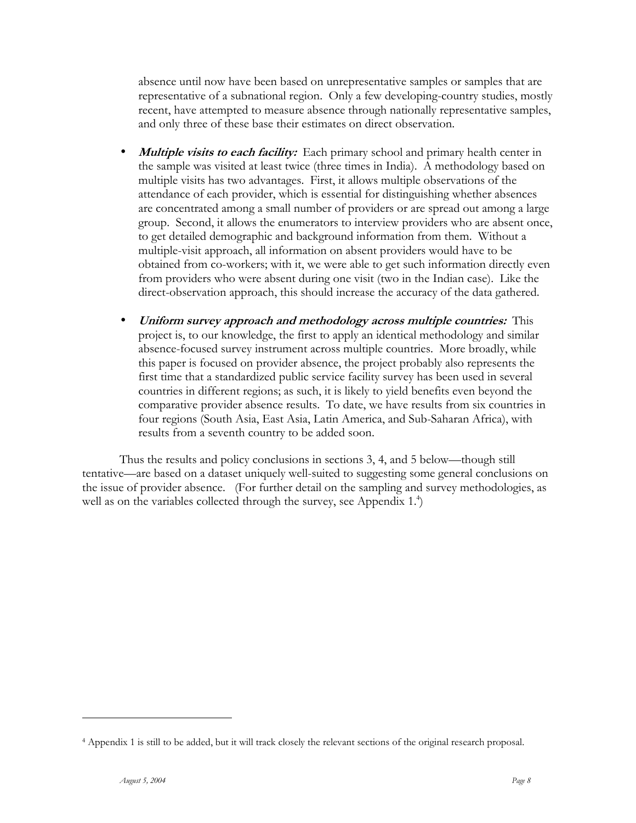absence until now have been based on unrepresentative samples or samples that are representative of a subnational region. Only a few developing-country studies, mostly recent, have attempted to measure absence through nationally representative samples, and only three of these base their estimates on direct observation.

- *Multiple visits to each facility:* Each primary school and primary health center in the sample was visited at least twice (three times in India). A methodology based on multiple visits has two advantages. First, it allows multiple observations of the attendance of each provider, which is essential for distinguishing whether absences are concentrated among a small number of providers or are spread out among a large group. Second, it allows the enumerators to interview providers who are absent once, to get detailed demographic and background information from them. Without a multiple-visit approach, all information on absent providers would have to be obtained from co-workers; with it, we were able to get such information directly even from providers who were absent during one visit (two in the Indian case). Like the direct-observation approach, this should increase the accuracy of the data gathered.
- **Uniform survey approach and methodology across multiple countries:** This project is, to our knowledge, the first to apply an identical methodology and similar absence-focused survey instrument across multiple countries. More broadly, while this paper is focused on provider absence, the project probably also represents the first time that a standardized public service facility survey has been used in several countries in different regions; as such, it is likely to yield benefits even beyond the comparative provider absence results. To date, we have results from six countries in four regions (South Asia, East Asia, Latin America, and Sub-Saharan Africa), with results from a seventh country to be added soon.

Thus the results and policy conclusions in sections 3, 4, and 5 below—though still tentative—are based on a dataset uniquely well-suited to suggesting some general conclusions on the issue of provider absence. (For further detail on the sampling and survey methodologies, as well as on the variables collected through the survey, see Appendix  $1<sup>4</sup>$ )

<sup>4</sup> Appendix 1 is still to be added, but it will track closely the relevant sections of the original research proposal.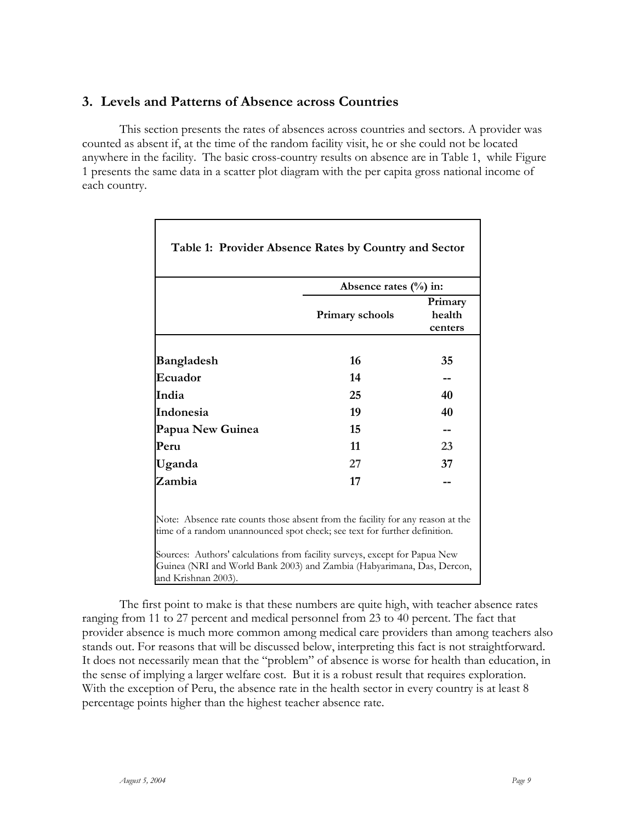### **3. Levels and Patterns of Absence across Countries**

 $\mathbf I$ 

This section presents the rates of absences across countries and sectors. A provider was counted as absent if, at the time of the random facility visit, he or she could not be located anywhere in the facility. The basic cross-country results on absence are in Table 1, while Figure 1 presents the same data in a scatter plot diagram with the per capita gross national income of each country.

|                                                                                                                                                             | Absence rates $(\% )$ in:                                                  |                              |
|-------------------------------------------------------------------------------------------------------------------------------------------------------------|----------------------------------------------------------------------------|------------------------------|
|                                                                                                                                                             | Primary schools                                                            | Primary<br>health<br>centers |
| <b>Bangladesh</b>                                                                                                                                           | 16                                                                         | 35                           |
| Ecuador                                                                                                                                                     | 14                                                                         |                              |
| India                                                                                                                                                       | 25                                                                         | 40                           |
| Indonesia                                                                                                                                                   | 19                                                                         | 40                           |
| Papua New Guinea                                                                                                                                            | 15                                                                         |                              |
| Peru                                                                                                                                                        | 11                                                                         | 23                           |
| Uganda                                                                                                                                                      | 27                                                                         | 37                           |
| Zambia                                                                                                                                                      | 17                                                                         |                              |
| Note: Absence rate counts those absent from the facility for any reason at the<br>time of a random unannounced spot check; see text for further definition. | Sources: Authors' calculations from facility surveys, except for Papua New |                              |

The first point to make is that these numbers are quite high, with teacher absence rates ranging from 11 to 27 percent and medical personnel from 23 to 40 percent. The fact that provider absence is much more common among medical care providers than among teachers also stands out. For reasons that will be discussed below, interpreting this fact is not straightforward. It does not necessarily mean that the "problem" of absence is worse for health than education, in the sense of implying a larger welfare cost. But it is a robust result that requires exploration. With the exception of Peru, the absence rate in the health sector in every country is at least 8 percentage points higher than the highest teacher absence rate.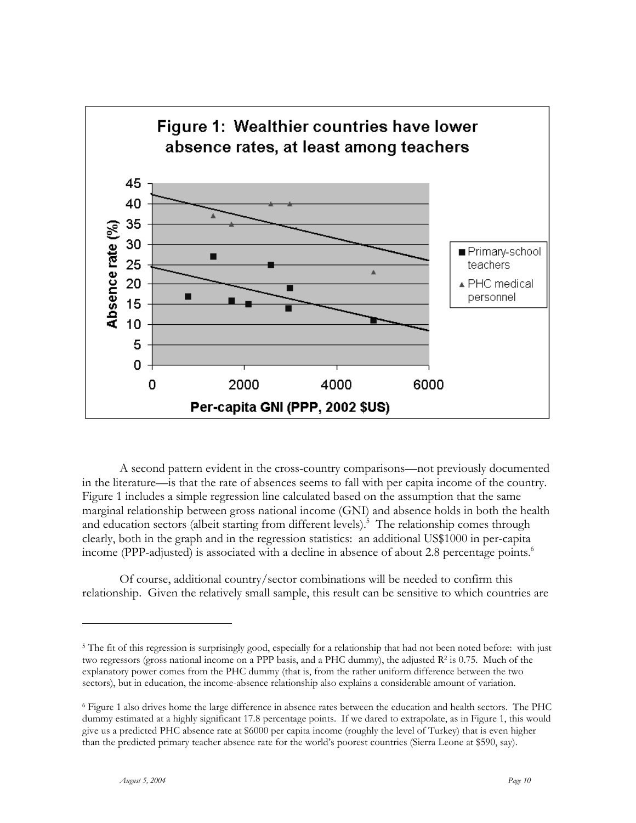

A second pattern evident in the cross-country comparisons—not previously documented in the literature—is that the rate of absences seems to fall with per capita income of the country. Figure 1 includes a simple regression line calculated based on the assumption that the same marginal relationship between gross national income (GNI) and absence holds in both the health and education sectors (albeit starting from different levels).<sup>5</sup> The relationship comes through clearly, both in the graph and in the regression statistics: an additional US\$1000 in per-capita income (PPP-adjusted) is associated with a decline in absence of about 2.8 percentage points.<sup>6</sup>

Of course, additional country/sector combinations will be needed to confirm this relationship. Given the relatively small sample, this result can be sensitive to which countries are

<sup>&</sup>lt;sup>5</sup> The fit of this regression is surprisingly good, especially for a relationship that had not been noted before: with just two regressors (gross national income on a PPP basis, and a PHC dummy), the adjusted  $\mathbb{R}^2$  is 0.75. Much of the explanatory power comes from the PHC dummy (that is, from the rather uniform difference between the two sectors), but in education, the income-absence relationship also explains a considerable amount of variation.

<sup>6</sup> Figure 1 also drives home the large difference in absence rates between the education and health sectors. The PHC dummy estimated at a highly significant 17.8 percentage points. If we dared to extrapolate, as in Figure 1, this would give us a predicted PHC absence rate at \$6000 per capita income (roughly the level of Turkey) that is even higher than the predicted primary teacher absence rate for the world's poorest countries (Sierra Leone at \$590, say).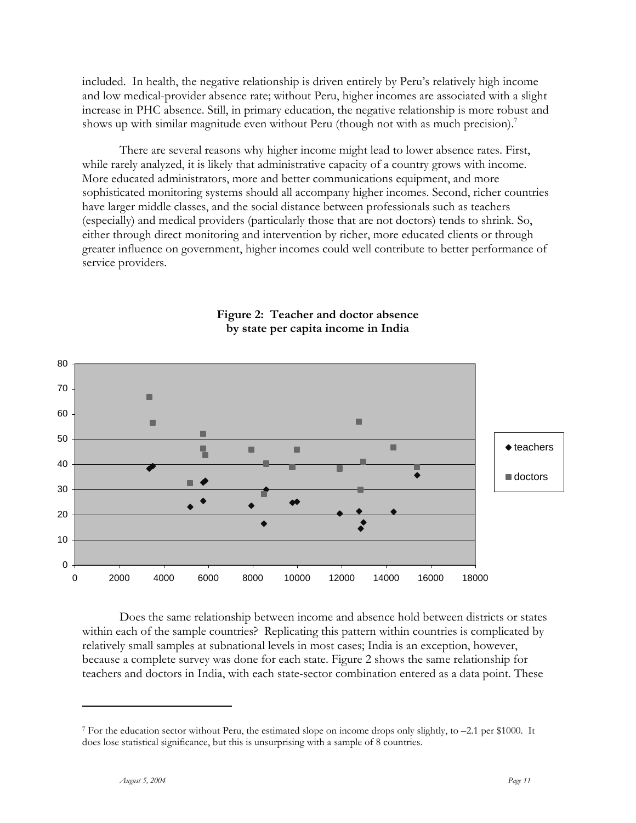included. In health, the negative relationship is driven entirely by Peru's relatively high income and low medical-provider absence rate; without Peru, higher incomes are associated with a slight increase in PHC absence. Still, in primary education, the negative relationship is more robust and shows up with similar magnitude even without Peru (though not with as much precision).

There are several reasons why higher income might lead to lower absence rates. First, while rarely analyzed, it is likely that administrative capacity of a country grows with income. More educated administrators, more and better communications equipment, and more sophisticated monitoring systems should all accompany higher incomes. Second, richer countries have larger middle classes, and the social distance between professionals such as teachers (especially) and medical providers (particularly those that are not doctors) tends to shrink. So, either through direct monitoring and intervention by richer, more educated clients or through greater influence on government, higher incomes could well contribute to better performance of service providers.



### **Figure 2: Teacher and doctor absence by state per capita income in India**

Does the same relationship between income and absence hold between districts or states within each of the sample countries? Replicating this pattern within countries is complicated by relatively small samples at subnational levels in most cases; India is an exception, however, because a complete survey was done for each state. Figure 2 shows the same relationship for teachers and doctors in India, with each state-sector combination entered as a data point. These

<sup>7</sup> For the education sector without Peru, the estimated slope on income drops only slightly, to –2.1 per \$1000. It does lose statistical significance, but this is unsurprising with a sample of 8 countries.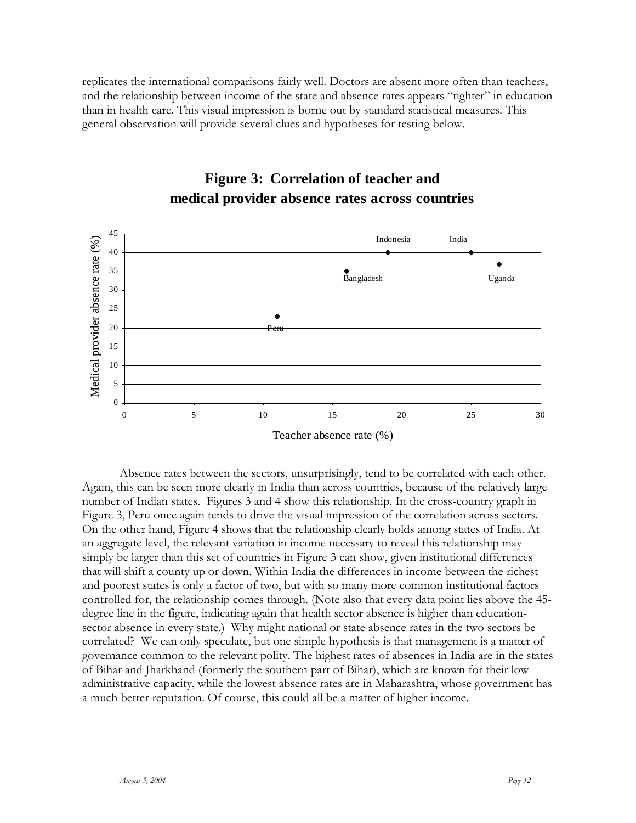replicates the international comparisons fairly well. Doctors are absent more often than teachers, and the relationship between income of the state and absence rates appears "tighter" in education than in health care. This visual impression is borne out by standard statistical measures. This general observation will provide several clues and hypotheses for testing below.



## **Figure 3: Correlation of teacher and medical provider absence rates across countries**

Absence rates between the sectors, unsurprisingly, tend to be correlated with each other. Again, this can be seen more clearly in India than across countries, because of the relatively large number of Indian states. Figures 3 and 4 show this relationship. In the cross-country graph in Figure 3, Peru once again tends to drive the visual impression of the correlation across sectors. On the other hand, Figure 4 shows that the relationship clearly holds among states of India. At an aggregate level, the relevant variation in income necessary to reveal this relationship may simply be larger than this set of countries in Figure 3 can show, given institutional differences that will shift a county up or down. Within India the differences in income between the richest and poorest states is only a factor of two, but with so many more common institutional factors controlled for, the relationship comes through. (Note also that every data point lies above the 45 degree line in the figure, indicating again that health sector absence is higher than educationsector absence in every state.) Why might national or state absence rates in the two sectors be correlated? We can only speculate, but one simple hypothesis is that management is a matter of governance common to the relevant polity. The highest rates of absences in India are in the states of Bihar and Jharkhand (formerly the southern part of Bihar), which are known for their low administrative capacity, while the lowest absence rates are in Maharashtra, whose government has a much better reputation. Of course, this could all be a matter of higher income.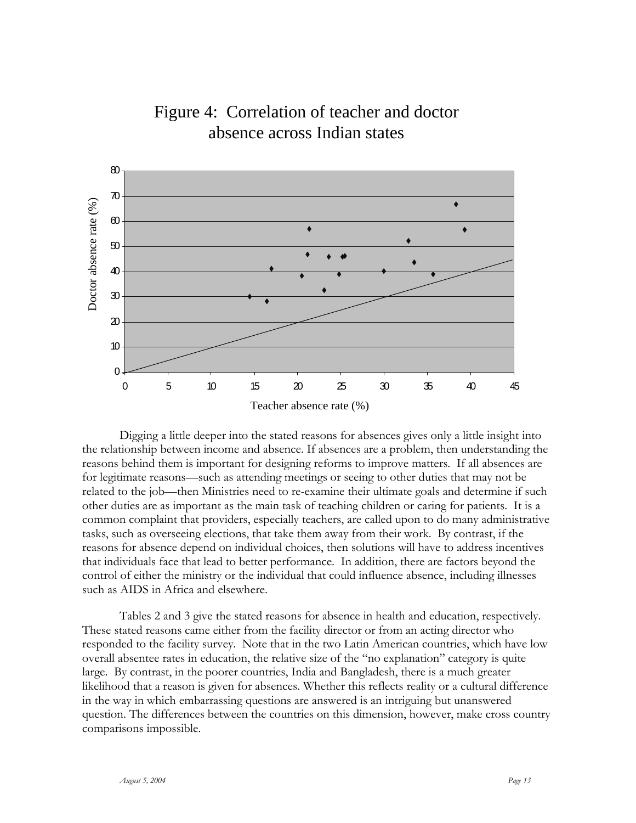

# Figure 4: Correlation of teacher and doctor absence across Indian states

Digging a little deeper into the stated reasons for absences gives only a little insight into the relationship between income and absence. If absences are a problem, then understanding the reasons behind them is important for designing reforms to improve matters. If all absences are for legitimate reasons—such as attending meetings or seeing to other duties that may not be related to the job—then Ministries need to re-examine their ultimate goals and determine if such other duties are as important as the main task of teaching children or caring for patients. It is a common complaint that providers, especially teachers, are called upon to do many administrative tasks, such as overseeing elections, that take them away from their work. By contrast, if the reasons for absence depend on individual choices, then solutions will have to address incentives that individuals face that lead to better performance. In addition, there are factors beyond the control of either the ministry or the individual that could influence absence, including illnesses such as AIDS in Africa and elsewhere.

Tables 2 and 3 give the stated reasons for absence in health and education, respectively. These stated reasons came either from the facility director or from an acting director who responded to the facility survey. Note that in the two Latin American countries, which have low overall absentee rates in education, the relative size of the "no explanation" category is quite large. By contrast, in the poorer countries, India and Bangladesh, there is a much greater likelihood that a reason is given for absences. Whether this reflects reality or a cultural difference in the way in which embarrassing questions are answered is an intriguing but unanswered question. The differences between the countries on this dimension, however, make cross country comparisons impossible.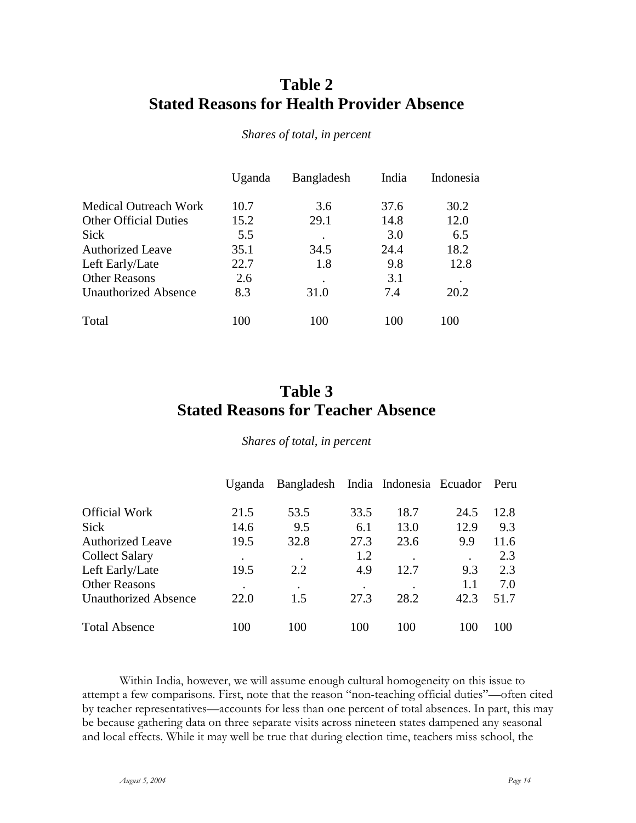## **Table 2 Stated Reasons for Health Provider Absence**

|                              | Uganda | <b>Bangladesh</b> | India | Indonesia |
|------------------------------|--------|-------------------|-------|-----------|
| Medical Outreach Work        | 10.7   | 3.6               | 37.6  | 30.2      |
| <b>Other Official Duties</b> | 15.2   | 29.1              | 14.8  | 12.0      |
| Sick                         | 5.5    | ٠                 | 3.0   | 6.5       |
| <b>Authorized Leave</b>      | 35.1   | 34.5              | 24.4  | 18.2      |
| Left Early/Late              | 22.7   | 1.8               | 9.8   | 12.8      |
| <b>Other Reasons</b>         | 2.6    |                   | 3.1   | $\bullet$ |
| <b>Unauthorized Absence</b>  | 8.3    | 31.0              | 7.4   | 20.2      |
| Total                        | 100    | 100               | 100   | 100       |

*Shares of total, in percent* 

# **Table 3 Stated Reasons for Teacher Absence**

*Shares of total, in percent* 

|                             | Uganda | Bangladesh India Indonesia Ecuador |      |           |           | Peru |
|-----------------------------|--------|------------------------------------|------|-----------|-----------|------|
| <b>Official Work</b>        | 21.5   | 53.5                               | 33.5 | 18.7      | 24.5      | 12.8 |
| <b>Sick</b>                 | 14.6   | 9.5                                | 6.1  | 13.0      | 12.9      | 9.3  |
| <b>Authorized Leave</b>     | 19.5   | 32.8                               | 27.3 | 23.6      | 9.9       | 11.6 |
| <b>Collect Salary</b>       | ٠      | $\bullet$                          | 1.2  | $\bullet$ | $\bullet$ | 2.3  |
| Left Early/Late             | 19.5   | 2.2                                | 4.9  | 12.7      | 9.3       | 2.3  |
| <b>Other Reasons</b>        |        | ٠                                  |      |           | 1.1       | 7.0  |
| <b>Unauthorized Absence</b> | 22.0   | 1.5                                | 27.3 | 28.2      | 42.3      | 51.7 |
| <b>Total Absence</b>        | 100    | 100                                | 100  | 100       | 100       | 100  |

Within India, however, we will assume enough cultural homogeneity on this issue to attempt a few comparisons. First, note that the reason "non-teaching official duties"—often cited by teacher representatives—accounts for less than one percent of total absences. In part, this may be because gathering data on three separate visits across nineteen states dampened any seasonal and local effects. While it may well be true that during election time, teachers miss school, the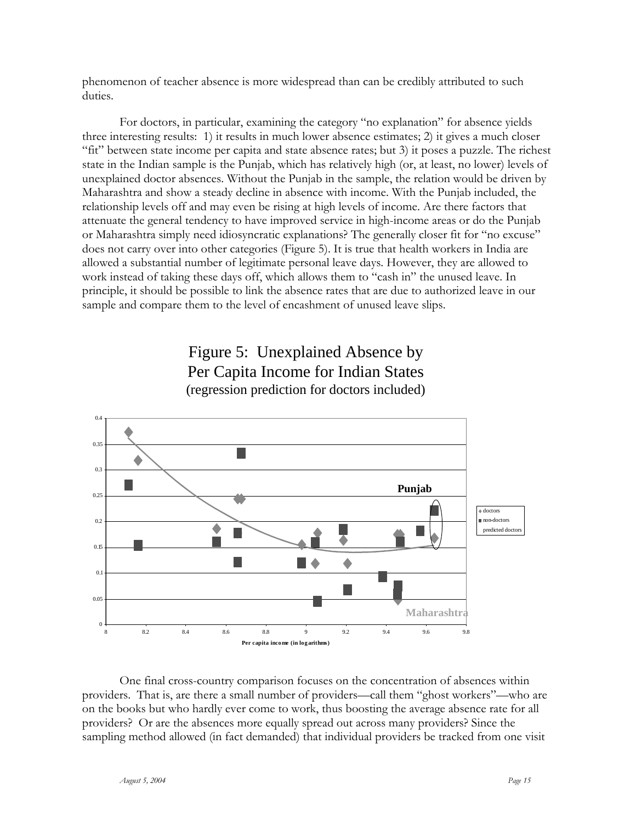phenomenon of teacher absence is more widespread than can be credibly attributed to such duties.

For doctors, in particular, examining the category "no explanation" for absence yields three interesting results: 1) it results in much lower absence estimates; 2) it gives a much closer "fit" between state income per capita and state absence rates; but 3) it poses a puzzle. The richest state in the Indian sample is the Punjab, which has relatively high (or, at least, no lower) levels of unexplained doctor absences. Without the Punjab in the sample, the relation would be driven by Maharashtra and show a steady decline in absence with income. With the Punjab included, the relationship levels off and may even be rising at high levels of income. Are there factors that attenuate the general tendency to have improved service in high-income areas or do the Punjab or Maharashtra simply need idiosyncratic explanations? The generally closer fit for "no excuse" does not carry over into other categories (Figure 5). It is true that health workers in India are allowed a substantial number of legitimate personal leave days. However, they are allowed to work instead of taking these days off, which allows them to "cash in" the unused leave. In principle, it should be possible to link the absence rates that are due to authorized leave in our sample and compare them to the level of encashment of unused leave slips.



## Figure 5: Unexplained Absence by Per Capita Income for Indian States (regression prediction for doctors included)

One final cross-country comparison focuses on the concentration of absences within providers. That is, are there a small number of providers—call them "ghost workers"—who are on the books but who hardly ever come to work, thus boosting the average absence rate for all providers? Or are the absences more equally spread out across many providers? Since the sampling method allowed (in fact demanded) that individual providers be tracked from one visit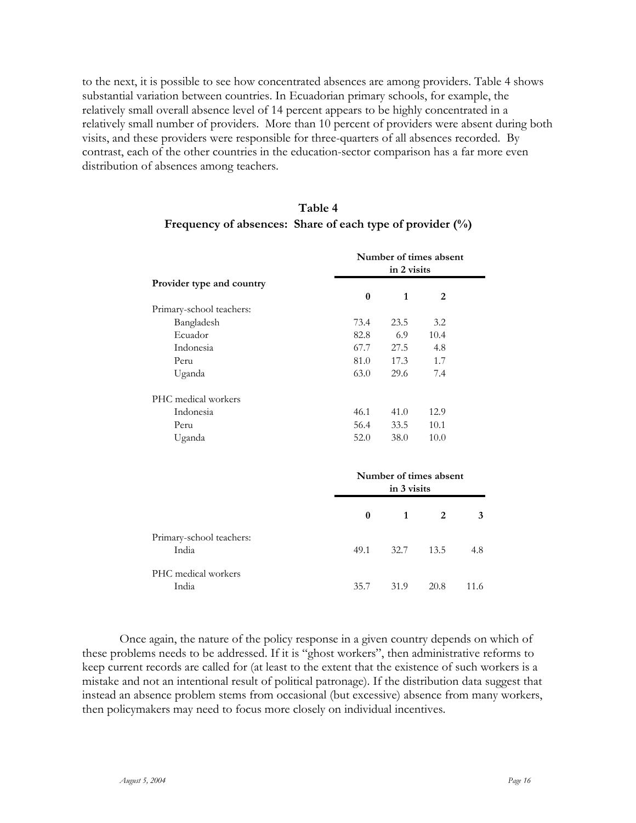to the next, it is possible to see how concentrated absences are among providers. Table 4 shows substantial variation between countries. In Ecuadorian primary schools, for example, the relatively small overall absence level of 14 percent appears to be highly concentrated in a relatively small number of providers. More than 10 percent of providers were absent during both visits, and these providers were responsible for three-quarters of all absences recorded. By contrast, each of the other countries in the education-sector comparison has a far more even distribution of absences among teachers.

| Table 4                                                      |
|--------------------------------------------------------------|
| Frequency of absences: Share of each type of provider $(\%)$ |

|                           |          | Number of times absent<br>in 2 visits |                |      |  |
|---------------------------|----------|---------------------------------------|----------------|------|--|
| Provider type and country | $\bf{0}$ | $\mathbf{1}$                          | 2              |      |  |
| Primary-school teachers:  |          |                                       |                |      |  |
| Bangladesh                | 73.4     | 23.5                                  | 3.2            |      |  |
| Ecuador                   | 82.8     | 6.9                                   | 10.4           |      |  |
| Indonesia                 | 67.7     | 27.5                                  | 4.8            |      |  |
| Peru                      | 81.0     | 17.3                                  | 1.7            |      |  |
| Uganda                    | 63.0     | 29.6                                  | 7.4            |      |  |
| PHC medical workers       |          |                                       |                |      |  |
| Indonesia                 | 46.1     | 41.0                                  | 12.9           |      |  |
| Peru                      | 56.4     | 33.5                                  | 10.1           |      |  |
| Uganda                    | 52.0     | 38.0                                  | 10.0           |      |  |
|                           |          | Number of times absent<br>in 3 visits |                |      |  |
|                           | $\bf{0}$ | $\mathbf{1}$                          | $\overline{2}$ | 3    |  |
| Primary-school teachers:  |          |                                       |                |      |  |
| India                     | 49.1     | 32.7                                  | 13.5           | 4.8  |  |
| PHC medical workers       |          |                                       |                |      |  |
| India                     | 35.7     | 31.9                                  | 20.8           | 11.6 |  |

Once again, the nature of the policy response in a given country depends on which of these problems needs to be addressed. If it is "ghost workers", then administrative reforms to keep current records are called for (at least to the extent that the existence of such workers is a mistake and not an intentional result of political patronage). If the distribution data suggest that instead an absence problem stems from occasional (but excessive) absence from many workers, then policymakers may need to focus more closely on individual incentives.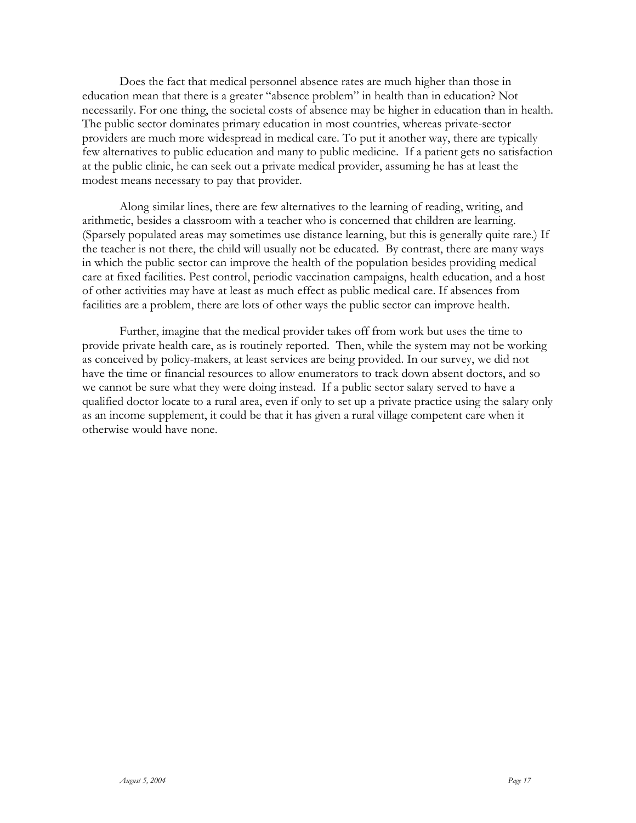Does the fact that medical personnel absence rates are much higher than those in education mean that there is a greater "absence problem" in health than in education? Not necessarily. For one thing, the societal costs of absence may be higher in education than in health. The public sector dominates primary education in most countries, whereas private-sector providers are much more widespread in medical care. To put it another way, there are typically few alternatives to public education and many to public medicine. If a patient gets no satisfaction at the public clinic, he can seek out a private medical provider, assuming he has at least the modest means necessary to pay that provider.

Along similar lines, there are few alternatives to the learning of reading, writing, and arithmetic, besides a classroom with a teacher who is concerned that children are learning. (Sparsely populated areas may sometimes use distance learning, but this is generally quite rare.) If the teacher is not there, the child will usually not be educated. By contrast, there are many ways in which the public sector can improve the health of the population besides providing medical care at fixed facilities. Pest control, periodic vaccination campaigns, health education, and a host of other activities may have at least as much effect as public medical care. If absences from facilities are a problem, there are lots of other ways the public sector can improve health.

Further, imagine that the medical provider takes off from work but uses the time to provide private health care, as is routinely reported. Then, while the system may not be working as conceived by policy-makers, at least services are being provided. In our survey, we did not have the time or financial resources to allow enumerators to track down absent doctors, and so we cannot be sure what they were doing instead. If a public sector salary served to have a qualified doctor locate to a rural area, even if only to set up a private practice using the salary only as an income supplement, it could be that it has given a rural village competent care when it otherwise would have none.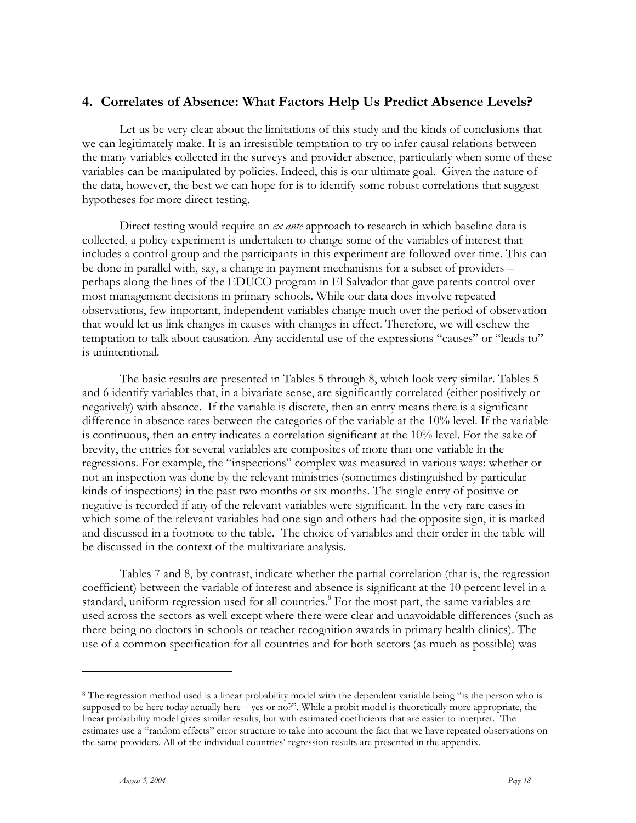### **4. Correlates of Absence: What Factors Help Us Predict Absence Levels?**

Let us be very clear about the limitations of this study and the kinds of conclusions that we can legitimately make. It is an irresistible temptation to try to infer causal relations between the many variables collected in the surveys and provider absence, particularly when some of these variables can be manipulated by policies. Indeed, this is our ultimate goal. Given the nature of the data, however, the best we can hope for is to identify some robust correlations that suggest hypotheses for more direct testing.

Direct testing would require an *ex ante* approach to research in which baseline data is collected, a policy experiment is undertaken to change some of the variables of interest that includes a control group and the participants in this experiment are followed over time. This can be done in parallel with, say, a change in payment mechanisms for a subset of providers – perhaps along the lines of the EDUCO program in El Salvador that gave parents control over most management decisions in primary schools. While our data does involve repeated observations, few important, independent variables change much over the period of observation that would let us link changes in causes with changes in effect. Therefore, we will eschew the temptation to talk about causation. Any accidental use of the expressions "causes" or "leads to" is unintentional.

The basic results are presented in Tables 5 through 8, which look very similar. Tables 5 and 6 identify variables that, in a bivariate sense, are significantly correlated (either positively or negatively) with absence. If the variable is discrete, then an entry means there is a significant difference in absence rates between the categories of the variable at the 10% level. If the variable is continuous, then an entry indicates a correlation significant at the 10% level. For the sake of brevity, the entries for several variables are composites of more than one variable in the regressions. For example, the "inspections" complex was measured in various ways: whether or not an inspection was done by the relevant ministries (sometimes distinguished by particular kinds of inspections) in the past two months or six months. The single entry of positive or negative is recorded if any of the relevant variables were significant. In the very rare cases in which some of the relevant variables had one sign and others had the opposite sign, it is marked and discussed in a footnote to the table. The choice of variables and their order in the table will be discussed in the context of the multivariate analysis.

Tables 7 and 8, by contrast, indicate whether the partial correlation (that is, the regression coefficient) between the variable of interest and absence is significant at the 10 percent level in a standard, uniform regression used for all countries.<sup>8</sup> For the most part, the same variables are used across the sectors as well except where there were clear and unavoidable differences (such as there being no doctors in schools or teacher recognition awards in primary health clinics). The use of a common specification for all countries and for both sectors (as much as possible) was

<sup>8</sup> The regression method used is a linear probability model with the dependent variable being "is the person who is supposed to be here today actually here – yes or no?". While a probit model is theoretically more appropriate, the linear probability model gives similar results, but with estimated coefficients that are easier to interpret. The estimates use a "random effects" error structure to take into account the fact that we have repeated observations on the same providers. All of the individual countries' regression results are presented in the appendix.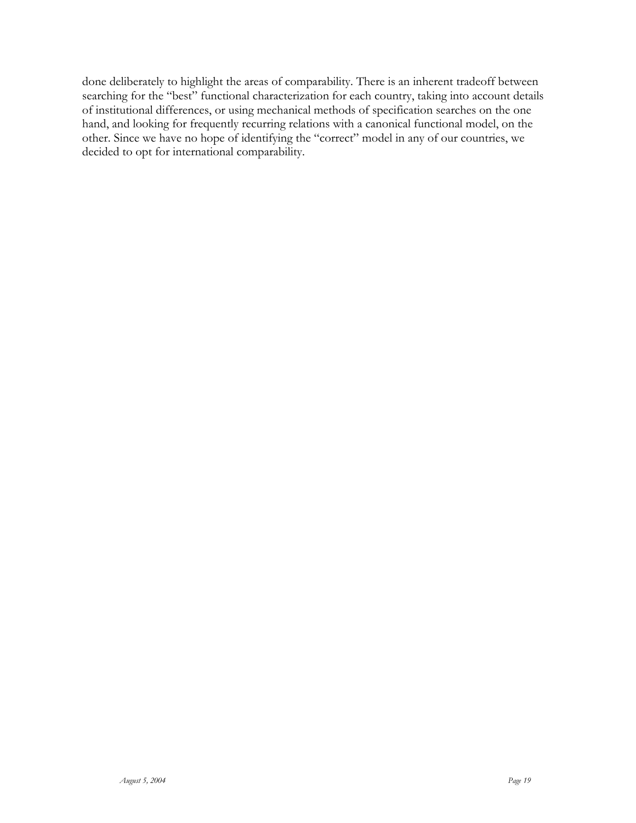done deliberately to highlight the areas of comparability. There is an inherent tradeoff between searching for the "best" functional characterization for each country, taking into account details of institutional differences, or using mechanical methods of specification searches on the one hand, and looking for frequently recurring relations with a canonical functional model, on the other. Since we have no hope of identifying the "correct" model in any of our countries, we decided to opt for international comparability.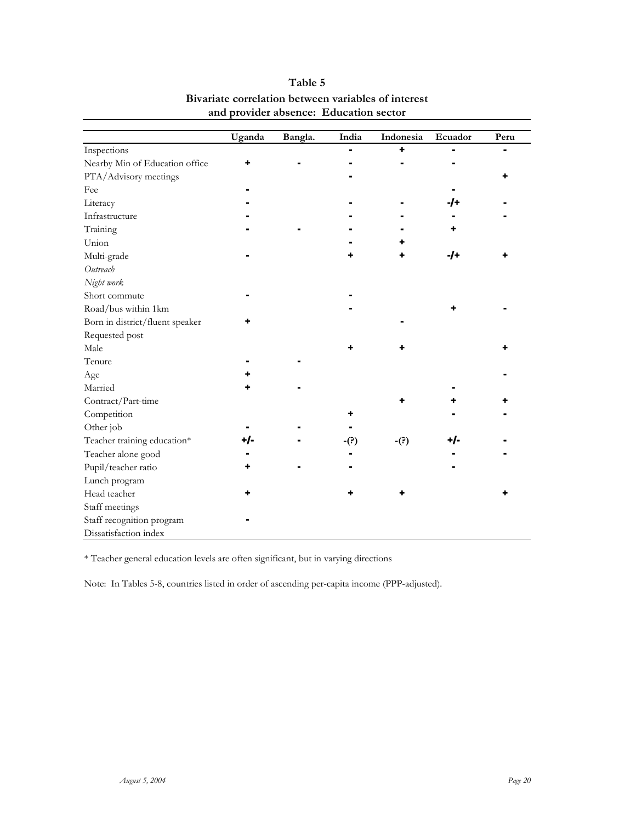|                                 | Uganda | Bangla. | India | Indonesia | Ecuador | Peru |
|---------------------------------|--------|---------|-------|-----------|---------|------|
| Inspections                     |        |         |       | ۰         |         |      |
| Nearby Min of Education office  | ٠      |         |       |           |         |      |
| PTA/Advisory meetings           |        |         |       |           |         |      |
| Fee                             |        |         |       |           |         |      |
| Literacy                        |        |         |       |           | -/+     |      |
| Infrastructure                  |        |         |       |           |         |      |
| Training                        |        |         |       |           |         |      |
| Union                           |        |         |       |           |         |      |
| Multi-grade                     |        |         |       |           | -/+     |      |
| Outreach                        |        |         |       |           |         |      |
| Night work                      |        |         |       |           |         |      |
| Short commute                   |        |         |       |           |         |      |
| Road/bus within 1km             |        |         |       |           |         |      |
| Born in district/fluent speaker |        |         |       |           |         |      |
| Requested post                  |        |         |       |           |         |      |
| Male                            |        |         |       |           |         |      |
| Tenure                          |        |         |       |           |         |      |
| Age                             |        |         |       |           |         |      |
| Married                         |        |         |       |           |         |      |
| Contract/Part-time              |        |         |       |           |         |      |
| Competition                     |        |         |       |           |         |      |
| Other job                       |        |         |       |           |         |      |
| Teacher training education*     | +/-    |         | -(?)  | $-(?)$    | +/-     |      |
| Teacher alone good              |        |         |       |           |         |      |
| Pupil/teacher ratio             |        |         |       |           |         |      |
| Lunch program                   |        |         |       |           |         |      |
| Head teacher                    |        |         |       |           |         |      |
| Staff meetings                  |        |         |       |           |         |      |
| Staff recognition program       |        |         |       |           |         |      |
| Dissatisfaction index           |        |         |       |           |         |      |

### **Table 5 Bivariate correlation between variables of interest and provider absence: Education sector**

\* Teacher general education levels are often significant, but in varying directions

Note: In Tables 5-8, countries listed in order of ascending per-capita income (PPP-adjusted).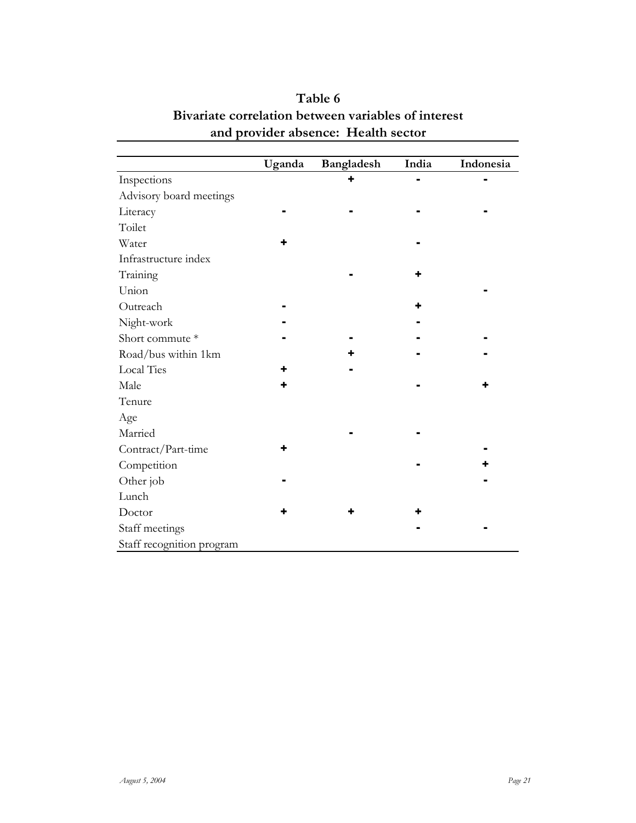|                           | Uganda | Bangladesh | India | Indonesia |
|---------------------------|--------|------------|-------|-----------|
| Inspections               |        |            |       |           |
| Advisory board meetings   |        |            |       |           |
| Literacy                  |        |            |       |           |
| Toilet                    |        |            |       |           |
| Water                     |        |            |       |           |
| Infrastructure index      |        |            |       |           |
| Training                  |        |            |       |           |
| Union                     |        |            |       |           |
| Outreach                  |        |            | ٠     |           |
| Night-work                |        |            |       |           |
| Short commute *           |        |            |       |           |
| Road/bus within 1km       |        |            |       |           |
| <b>Local Ties</b>         |        |            |       |           |
| Male                      |        |            |       |           |
| Tenure                    |        |            |       |           |
| Age                       |        |            |       |           |
| Married                   |        |            |       |           |
| Contract/Part-time        |        |            |       |           |
| Competition               |        |            |       |           |
| Other job                 |        |            |       |           |
| Lunch                     |        |            |       |           |
| Doctor                    |        |            |       |           |
| Staff meetings            |        |            |       |           |
| Staff recognition program |        |            |       |           |

## **Bivariate correlation between variables of interest and provider absence: Health sector Table 6**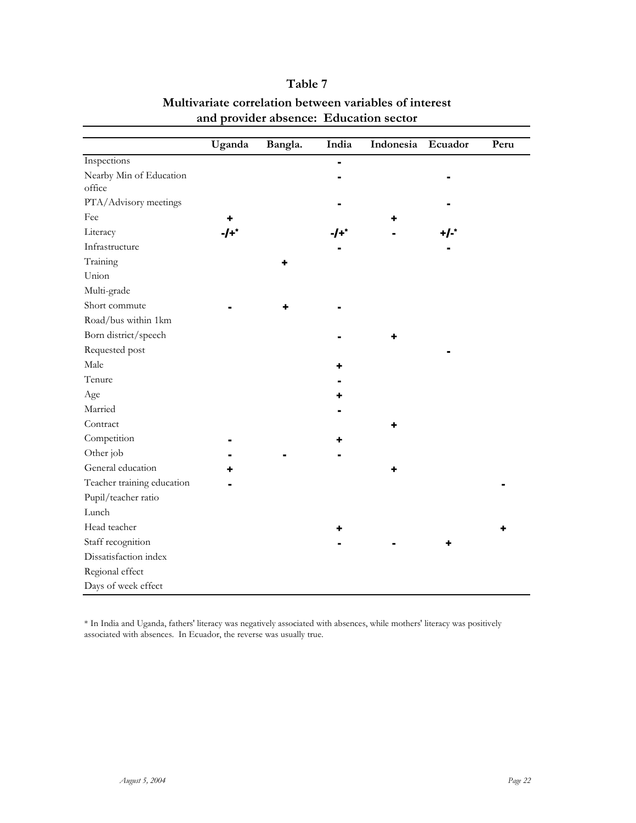|                            | Uganda | Bangla. | India | Indonesia | Ecuador | Peru |
|----------------------------|--------|---------|-------|-----------|---------|------|
| Inspections                |        |         |       |           |         |      |
| Nearby Min of Education    |        |         |       |           |         |      |
| office                     |        |         |       |           |         |      |
| PTA/Advisory meetings      |        |         |       |           |         |      |
| Fee                        |        |         |       |           |         |      |
| Literacy                   | $-I+$  |         | ∙′+/  |           | $+/-$   |      |
| Infrastructure             |        |         |       |           |         |      |
| Training                   |        |         |       |           |         |      |
| Union                      |        |         |       |           |         |      |
| Multi-grade                |        |         |       |           |         |      |
| Short commute              |        |         |       |           |         |      |
| Road/bus within 1km        |        |         |       |           |         |      |
| Born district/speech       |        |         |       |           |         |      |
| Requested post             |        |         |       |           |         |      |
| Male                       |        |         |       |           |         |      |
| Tenure                     |        |         |       |           |         |      |
| Age                        |        |         |       |           |         |      |
| Married                    |        |         |       |           |         |      |
| Contract                   |        |         |       |           |         |      |
| Competition                |        |         |       |           |         |      |
| Other job                  |        |         |       |           |         |      |
| General education          |        |         |       |           |         |      |
| Teacher training education |        |         |       |           |         |      |
| Pupil/teacher ratio        |        |         |       |           |         |      |
| Lunch                      |        |         |       |           |         |      |
| Head teacher               |        |         |       |           |         |      |
| Staff recognition          |        |         |       |           |         |      |
| Dissatisfaction index      |        |         |       |           |         |      |
| Regional effect            |        |         |       |           |         |      |
| Days of week effect        |        |         |       |           |         |      |

## **Table 7 Multivariate correlation between variables of interest and provider absence: Education sector**

\* In India and Uganda, fathers' literacy was negatively associated with absences, while mothers' literacy was positively associated with absences. In Ecuador, the reverse was usually true.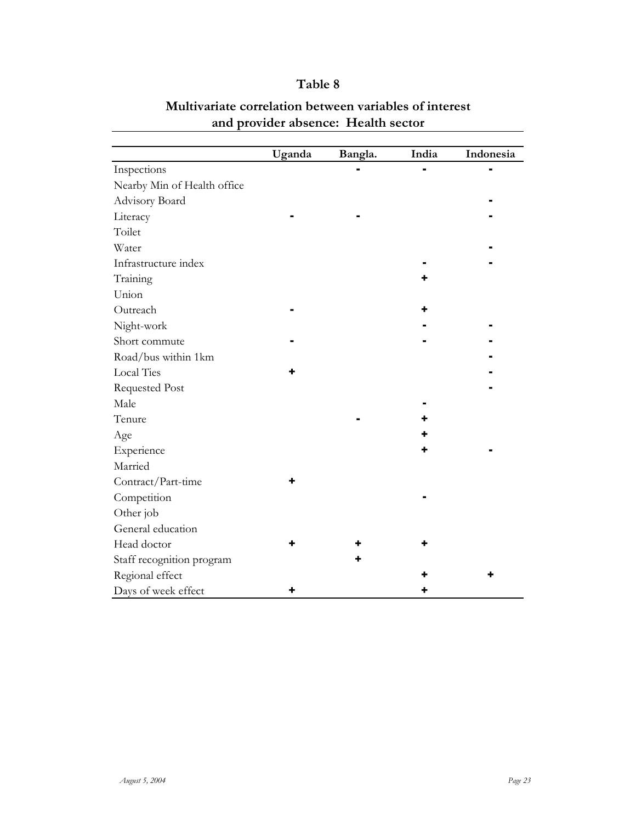| Table 8 |  |
|---------|--|
|---------|--|

|                             | Uganda | Bangla. | India | Indonesia |
|-----------------------------|--------|---------|-------|-----------|
| Inspections                 |        |         |       |           |
| Nearby Min of Health office |        |         |       |           |
| Advisory Board              |        |         |       |           |
| Literacy                    |        |         |       |           |
| Toilet                      |        |         |       |           |
| Water                       |        |         |       |           |
| Infrastructure index        |        |         |       |           |
| Training                    |        |         |       |           |
| Union                       |        |         |       |           |
| Outreach                    |        |         |       |           |
| Night-work                  |        |         |       |           |
| Short commute               |        |         |       |           |
| Road/bus within 1km         |        |         |       |           |
| <b>Local Ties</b>           |        |         |       |           |
| <b>Requested Post</b>       |        |         |       |           |
| Male                        |        |         |       |           |
| Tenure                      |        |         |       |           |
| Age                         |        |         |       |           |
| Experience                  |        |         |       |           |
| Married                     |        |         |       |           |
| Contract/Part-time          |        |         |       |           |
| Competition                 |        |         |       |           |
| Other job                   |        |         |       |           |
| General education           |        |         |       |           |
| Head doctor                 |        |         |       |           |
| Staff recognition program   |        |         |       |           |
| Regional effect             |        |         |       |           |
| Days of week effect         |        |         |       |           |

## **Multivariate correlation between variables of interest and provider absence: Health sector**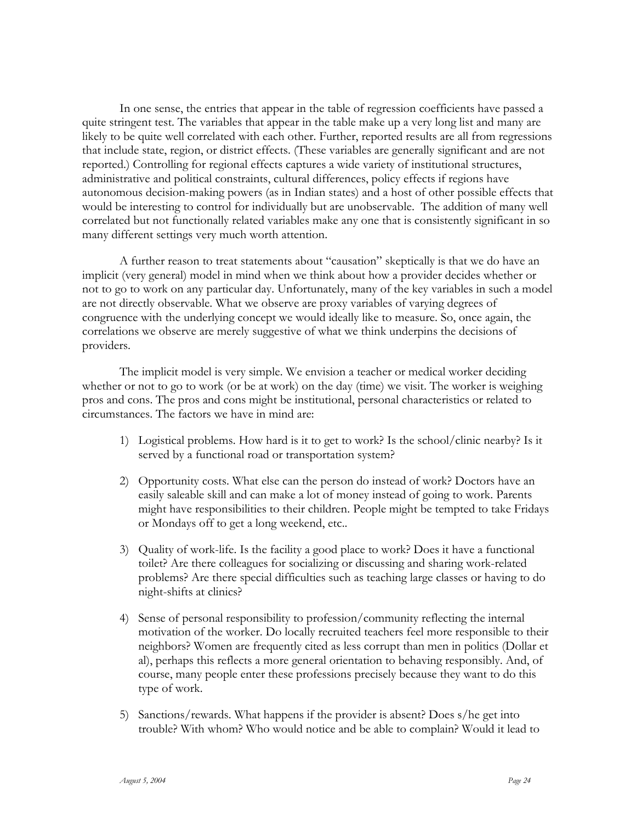In one sense, the entries that appear in the table of regression coefficients have passed a quite stringent test. The variables that appear in the table make up a very long list and many are likely to be quite well correlated with each other. Further, reported results are all from regressions that include state, region, or district effects. (These variables are generally significant and are not reported.) Controlling for regional effects captures a wide variety of institutional structures, administrative and political constraints, cultural differences, policy effects if regions have autonomous decision-making powers (as in Indian states) and a host of other possible effects that would be interesting to control for individually but are unobservable. The addition of many well correlated but not functionally related variables make any one that is consistently significant in so many different settings very much worth attention.

A further reason to treat statements about "causation" skeptically is that we do have an implicit (very general) model in mind when we think about how a provider decides whether or not to go to work on any particular day. Unfortunately, many of the key variables in such a model are not directly observable. What we observe are proxy variables of varying degrees of congruence with the underlying concept we would ideally like to measure. So, once again, the correlations we observe are merely suggestive of what we think underpins the decisions of providers.

The implicit model is very simple. We envision a teacher or medical worker deciding whether or not to go to work (or be at work) on the day (time) we visit. The worker is weighing pros and cons. The pros and cons might be institutional, personal characteristics or related to circumstances. The factors we have in mind are:

- 1) Logistical problems. How hard is it to get to work? Is the school/clinic nearby? Is it served by a functional road or transportation system?
- 2) Opportunity costs. What else can the person do instead of work? Doctors have an easily saleable skill and can make a lot of money instead of going to work. Parents might have responsibilities to their children. People might be tempted to take Fridays or Mondays off to get a long weekend, etc..
- 3) Quality of work-life. Is the facility a good place to work? Does it have a functional toilet? Are there colleagues for socializing or discussing and sharing work-related problems? Are there special difficulties such as teaching large classes or having to do night-shifts at clinics?
- 4) Sense of personal responsibility to profession/community reflecting the internal motivation of the worker. Do locally recruited teachers feel more responsible to their neighbors? Women are frequently cited as less corrupt than men in politics (Dollar et al), perhaps this reflects a more general orientation to behaving responsibly. And, of course, many people enter these professions precisely because they want to do this type of work.
- 5) Sanctions/rewards. What happens if the provider is absent? Does s/he get into trouble? With whom? Who would notice and be able to complain? Would it lead to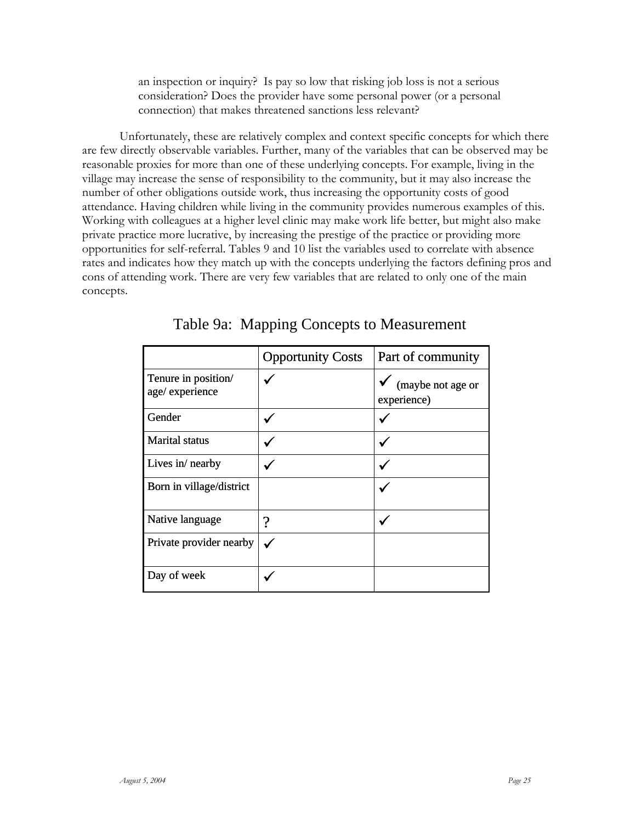an inspection or inquiry? Is pay so low that risking job loss is not a serious consideration? Does the provider have some personal power (or a personal connection) that makes threatened sanctions less relevant?

Unfortunately, these are relatively complex and context specific concepts for which there are few directly observable variables. Further, many of the variables that can be observed may be reasonable proxies for more than one of these underlying concepts. For example, living in the village may increase the sense of responsibility to the community, but it may also increase the number of other obligations outside work, thus increasing the opportunity costs of good attendance. Having children while living in the community provides numerous examples of this. Working with colleagues at a higher level clinic may make work life better, but might also make private practice more lucrative, by increasing the prestige of the practice or providing more opportunities for self-referral. Tables 9 and 10 list the variables used to correlate with absence rates and indicates how they match up with the concepts underlying the factors defining pros and cons of attending work. There are very few variables that are related to only one of the main concepts.

|                                       | <b>Opportunity Costs</b> | Part of community                |
|---------------------------------------|--------------------------|----------------------------------|
| Tenure in position/<br>age/experience |                          | (maybe not age or<br>experience) |
| Gender                                |                          |                                  |
| <b>Marital</b> status                 |                          |                                  |
| Lives in/ nearby                      |                          |                                  |
| Born in village/district              |                          |                                  |
| Native language                       | າ                        |                                  |
| Private provider nearby               |                          |                                  |
| Day of week                           |                          |                                  |

Table 9a: Mapping Concepts to Measurement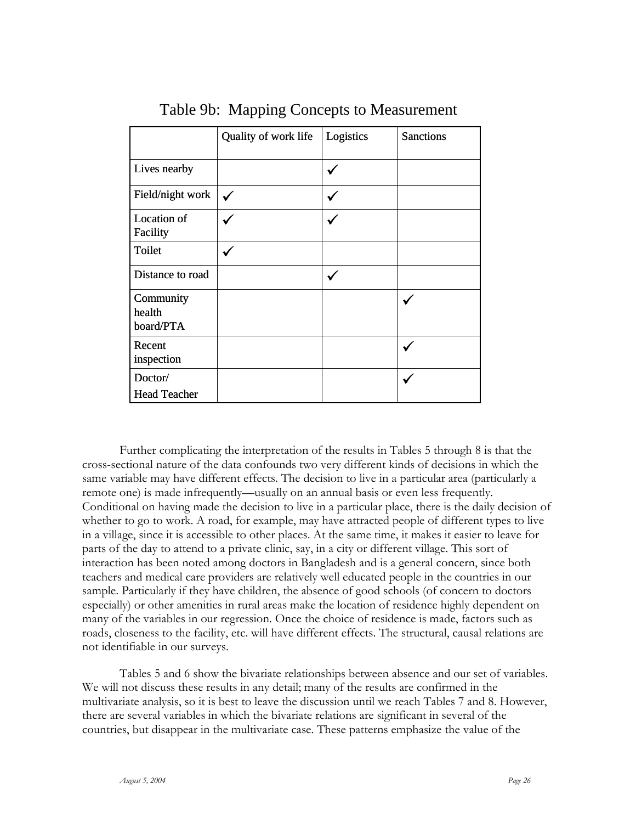|                                  | Quality of work life | Logistics | <b>Sanctions</b> |
|----------------------------------|----------------------|-----------|------------------|
| Lives nearby                     |                      |           |                  |
| Field/night work                 | $\checkmark$         |           |                  |
| Location of<br>Facility          |                      |           |                  |
| Toilet                           |                      |           |                  |
| Distance to road                 |                      |           |                  |
| Community<br>health<br>board/PTA |                      |           |                  |
| Recent<br>inspection             |                      |           |                  |
| Doctor/<br><b>Head Teacher</b>   |                      |           |                  |

## Table 9b: Mapping Concepts to Measurement

Further complicating the interpretation of the results in Tables 5 through 8 is that the cross-sectional nature of the data confounds two very different kinds of decisions in which the same variable may have different effects. The decision to live in a particular area (particularly a remote one) is made infrequently—usually on an annual basis or even less frequently. Conditional on having made the decision to live in a particular place, there is the daily decision of whether to go to work. A road, for example, may have attracted people of different types to live in a village, since it is accessible to other places. At the same time, it makes it easier to leave for parts of the day to attend to a private clinic, say, in a city or different village. This sort of interaction has been noted among doctors in Bangladesh and is a general concern, since both teachers and medical care providers are relatively well educated people in the countries in our sample. Particularly if they have children, the absence of good schools (of concern to doctors especially) or other amenities in rural areas make the location of residence highly dependent on many of the variables in our regression. Once the choice of residence is made, factors such as roads, closeness to the facility, etc. will have different effects. The structural, causal relations are not identifiable in our surveys.

Tables 5 and 6 show the bivariate relationships between absence and our set of variables. We will not discuss these results in any detail; many of the results are confirmed in the multivariate analysis, so it is best to leave the discussion until we reach Tables 7 and 8. However, there are several variables in which the bivariate relations are significant in several of the countries, but disappear in the multivariate case. These patterns emphasize the value of the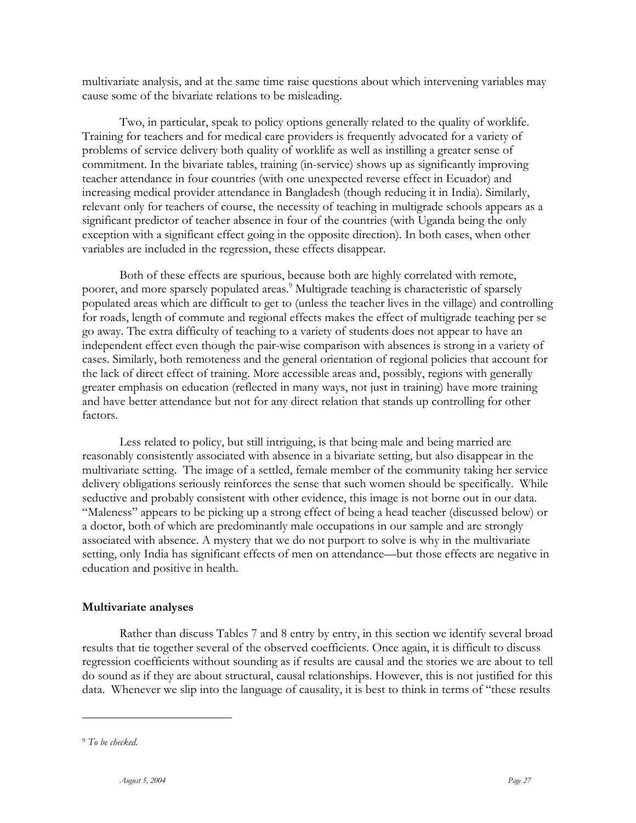multivariate analysis, and at the same time raise questions about which intervening variables may cause some of the bivariate relations to be misleading.

Two, in particular, speak to policy options generally related to the quality of worklife. Training for teachers and for medical care providers is frequently advocated for a variety of problems of service delivery both quality of worklife as well as instilling a greater sense of commitment. In the bivariate tables, training (in-service) shows up as significantly improving teacher attendance in four countries (with one unexpected reverse effect in Ecuador) and increasing medical provider attendance in Bangladesh (though reducing it in India). Similarly, relevant only for teachers of course, the necessity of teaching in multigrade schools appears as a significant predictor of teacher absence in four of the countries (with Uganda being the only exception with a significant effect going in the opposite direction). In both cases, when other variables are included in the regression, these effects disappear.

Both of these effects are spurious, because both are highly correlated with remote, poorer, and more sparsely populated areas.<sup>9</sup> Multigrade teaching is characteristic of sparsely populated areas which are difficult to get to (unless the teacher lives in the village) and controlling for roads, length of commute and regional effects makes the effect of multigrade teaching per se go away. The extra difficulty of teaching to a variety of students does not appear to have an independent effect even though the pair-wise comparison with absences is strong in a variety of cases. Similarly, both remoteness and the general orientation of regional policies that account for the lack of direct effect of training. More accessible areas and, possibly, regions with generally greater emphasis on education (reflected in many ways, not just in training) have more training and have better attendance but not for any direct relation that stands up controlling for other factors.

Less related to policy, but still intriguing, is that being male and being married are reasonably consistently associated with absence in a bivariate setting, but also disappear in the multivariate setting. The image of a settled, female member of the community taking her service delivery obligations seriously reinforces the sense that such women should be specifically. While seductive and probably consistent with other evidence, this image is not borne out in our data. "Maleness" appears to be picking up a strong effect of being a head teacher (discussed below) or a doctor, both of which are predominantly male occupations in our sample and are strongly associated with absence. A mystery that we do not purport to solve is why in the multivariate setting, only India has significant effects of men on attendance—but those effects are negative in education and positive in health.

#### **Multivariate analyses**

Rather than discuss Tables 7 and 8 entry by entry, in this section we identify several broad results that tie together several of the observed coefficients. Once again, it is difficult to discuss regression coefficients without sounding as if results are causal and the stories we are about to tell do sound as if they are about structural, causal relationships. However, this is not justified for this data. Whenever we slip into the language of causality, it is best to think in terms of "these results

<sup>9</sup> *To be checked.*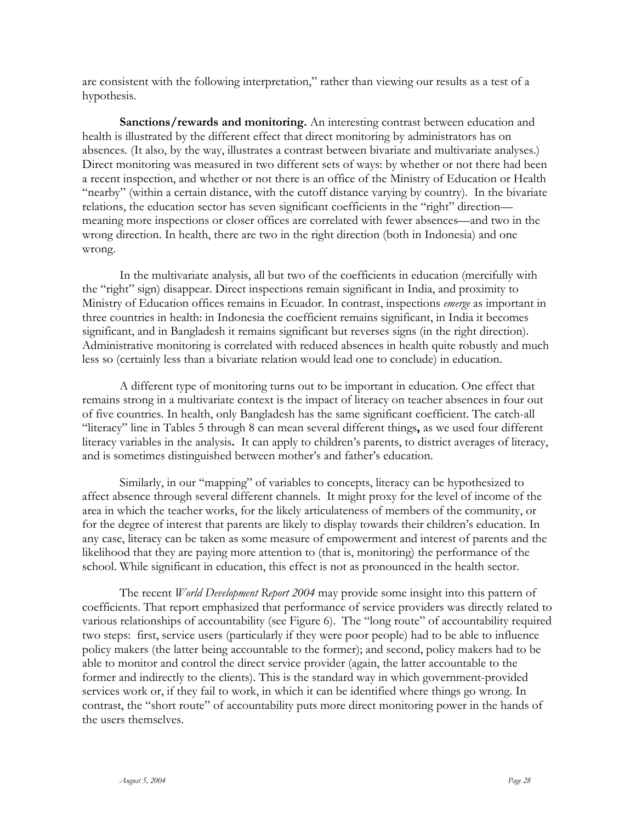are consistent with the following interpretation," rather than viewing our results as a test of a hypothesis.

**Sanctions/rewards and monitoring.** An interesting contrast between education and health is illustrated by the different effect that direct monitoring by administrators has on absences. (It also, by the way, illustrates a contrast between bivariate and multivariate analyses.) Direct monitoring was measured in two different sets of ways: by whether or not there had been a recent inspection, and whether or not there is an office of the Ministry of Education or Health "nearby" (within a certain distance, with the cutoff distance varying by country). In the bivariate relations, the education sector has seven significant coefficients in the "right" direction meaning more inspections or closer offices are correlated with fewer absences—and two in the wrong direction. In health, there are two in the right direction (both in Indonesia) and one wrong.

In the multivariate analysis, all but two of the coefficients in education (mercifully with the "right" sign) disappear. Direct inspections remain significant in India, and proximity to Ministry of Education offices remains in Ecuador. In contrast, inspections *emerge* as important in three countries in health: in Indonesia the coefficient remains significant, in India it becomes significant, and in Bangladesh it remains significant but reverses signs (in the right direction). Administrative monitoring is correlated with reduced absences in health quite robustly and much less so (certainly less than a bivariate relation would lead one to conclude) in education.

A different type of monitoring turns out to be important in education. One effect that remains strong in a multivariate context is the impact of literacy on teacher absences in four out of five countries. In health, only Bangladesh has the same significant coefficient. The catch-all "literacy" line in Tables 5 through 8 can mean several different things**,** as we used four different literacy variables in the analysis**.** It can apply to children's parents, to district averages of literacy, and is sometimes distinguished between mother's and father's education.

Similarly, in our "mapping" of variables to concepts, literacy can be hypothesized to affect absence through several different channels. It might proxy for the level of income of the area in which the teacher works, for the likely articulateness of members of the community, or for the degree of interest that parents are likely to display towards their children's education. In any case, literacy can be taken as some measure of empowerment and interest of parents and the likelihood that they are paying more attention to (that is, monitoring) the performance of the school. While significant in education, this effect is not as pronounced in the health sector.

The recent *World Development Report 2004* may provide some insight into this pattern of coefficients. That report emphasized that performance of service providers was directly related to various relationships of accountability (see Figure 6). The "long route" of accountability required two steps: first, service users (particularly if they were poor people) had to be able to influence policy makers (the latter being accountable to the former); and second, policy makers had to be able to monitor and control the direct service provider (again, the latter accountable to the former and indirectly to the clients). This is the standard way in which government-provided services work or, if they fail to work, in which it can be identified where things go wrong. In contrast, the "short route" of accountability puts more direct monitoring power in the hands of the users themselves.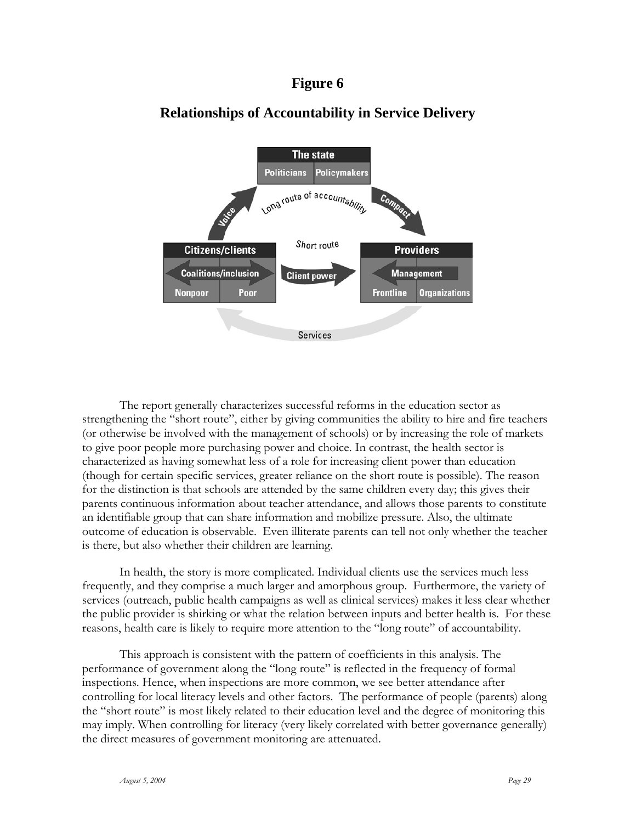### **Figure 6**



## **Relationships of Accountability in Service Delivery**

The report generally characterizes successful reforms in the education sector as strengthening the "short route", either by giving communities the ability to hire and fire teachers (or otherwise be involved with the management of schools) or by increasing the role of markets to give poor people more purchasing power and choice. In contrast, the health sector is characterized as having somewhat less of a role for increasing client power than education (though for certain specific services, greater reliance on the short route is possible). The reason for the distinction is that schools are attended by the same children every day; this gives their parents continuous information about teacher attendance, and allows those parents to constitute an identifiable group that can share information and mobilize pressure. Also, the ultimate outcome of education is observable. Even illiterate parents can tell not only whether the teacher is there, but also whether their children are learning.

In health, the story is more complicated. Individual clients use the services much less frequently, and they comprise a much larger and amorphous group. Furthermore, the variety of services (outreach, public health campaigns as well as clinical services) makes it less clear whether the public provider is shirking or what the relation between inputs and better health is. For these reasons, health care is likely to require more attention to the "long route" of accountability.

This approach is consistent with the pattern of coefficients in this analysis. The performance of government along the "long route" is reflected in the frequency of formal inspections. Hence, when inspections are more common, we see better attendance after controlling for local literacy levels and other factors. The performance of people (parents) along the "short route" is most likely related to their education level and the degree of monitoring this may imply. When controlling for literacy (very likely correlated with better governance generally) the direct measures of government monitoring are attenuated.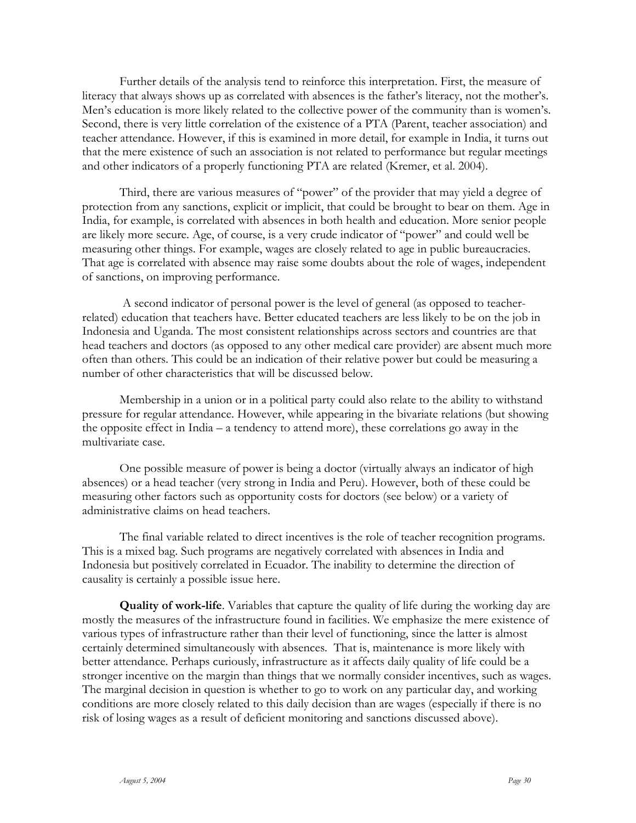Further details of the analysis tend to reinforce this interpretation. First, the measure of literacy that always shows up as correlated with absences is the father's literacy, not the mother's. Men's education is more likely related to the collective power of the community than is women's. Second, there is very little correlation of the existence of a PTA (Parent, teacher association) and teacher attendance. However, if this is examined in more detail, for example in India, it turns out that the mere existence of such an association is not related to performance but regular meetings and other indicators of a properly functioning PTA are related (Kremer, et al. 2004).

Third, there are various measures of "power" of the provider that may yield a degree of protection from any sanctions, explicit or implicit, that could be brought to bear on them. Age in India, for example, is correlated with absences in both health and education. More senior people are likely more secure. Age, of course, is a very crude indicator of "power" and could well be measuring other things. For example, wages are closely related to age in public bureaucracies. That age is correlated with absence may raise some doubts about the role of wages, independent of sanctions, on improving performance.

 A second indicator of personal power is the level of general (as opposed to teacherrelated) education that teachers have. Better educated teachers are less likely to be on the job in Indonesia and Uganda. The most consistent relationships across sectors and countries are that head teachers and doctors (as opposed to any other medical care provider) are absent much more often than others. This could be an indication of their relative power but could be measuring a number of other characteristics that will be discussed below.

Membership in a union or in a political party could also relate to the ability to withstand pressure for regular attendance. However, while appearing in the bivariate relations (but showing the opposite effect in India – a tendency to attend more), these correlations go away in the multivariate case.

One possible measure of power is being a doctor (virtually always an indicator of high absences) or a head teacher (very strong in India and Peru). However, both of these could be measuring other factors such as opportunity costs for doctors (see below) or a variety of administrative claims on head teachers.

The final variable related to direct incentives is the role of teacher recognition programs. This is a mixed bag. Such programs are negatively correlated with absences in India and Indonesia but positively correlated in Ecuador. The inability to determine the direction of causality is certainly a possible issue here.

**Quality of work-life**. Variables that capture the quality of life during the working day are mostly the measures of the infrastructure found in facilities. We emphasize the mere existence of various types of infrastructure rather than their level of functioning, since the latter is almost certainly determined simultaneously with absences. That is, maintenance is more likely with better attendance. Perhaps curiously, infrastructure as it affects daily quality of life could be a stronger incentive on the margin than things that we normally consider incentives, such as wages. The marginal decision in question is whether to go to work on any particular day, and working conditions are more closely related to this daily decision than are wages (especially if there is no risk of losing wages as a result of deficient monitoring and sanctions discussed above).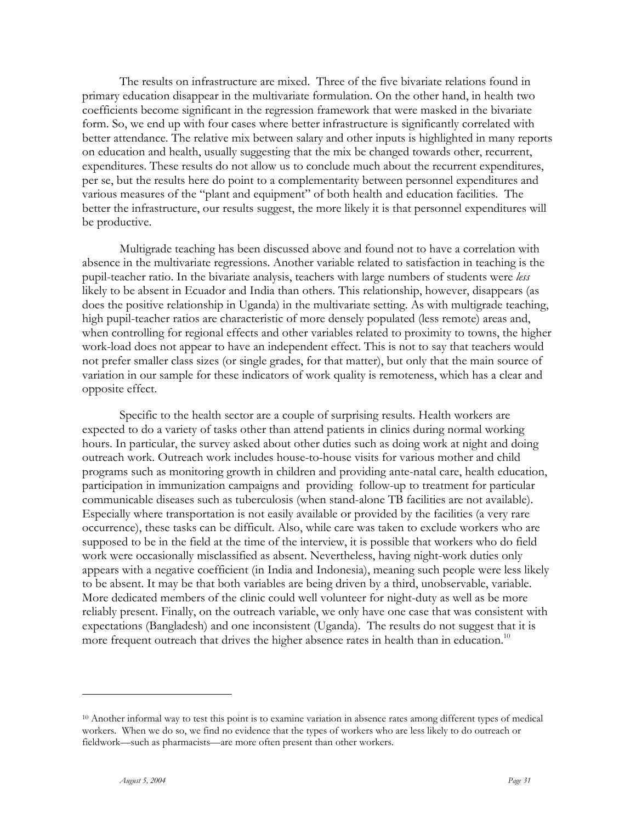The results on infrastructure are mixed. Three of the five bivariate relations found in primary education disappear in the multivariate formulation. On the other hand, in health two coefficients become significant in the regression framework that were masked in the bivariate form. So, we end up with four cases where better infrastructure is significantly correlated with better attendance. The relative mix between salary and other inputs is highlighted in many reports on education and health, usually suggesting that the mix be changed towards other, recurrent, expenditures. These results do not allow us to conclude much about the recurrent expenditures, per se, but the results here do point to a complementarity between personnel expenditures and various measures of the "plant and equipment" of both health and education facilities. The better the infrastructure, our results suggest, the more likely it is that personnel expenditures will be productive.

Multigrade teaching has been discussed above and found not to have a correlation with absence in the multivariate regressions. Another variable related to satisfaction in teaching is the pupil-teacher ratio. In the bivariate analysis, teachers with large numbers of students were *less* likely to be absent in Ecuador and India than others. This relationship, however, disappears (as does the positive relationship in Uganda) in the multivariate setting. As with multigrade teaching, high pupil-teacher ratios are characteristic of more densely populated (less remote) areas and, when controlling for regional effects and other variables related to proximity to towns, the higher work-load does not appear to have an independent effect. This is not to say that teachers would not prefer smaller class sizes (or single grades, for that matter), but only that the main source of variation in our sample for these indicators of work quality is remoteness, which has a clear and opposite effect.

Specific to the health sector are a couple of surprising results. Health workers are expected to do a variety of tasks other than attend patients in clinics during normal working hours. In particular, the survey asked about other duties such as doing work at night and doing outreach work. Outreach work includes house-to-house visits for various mother and child programs such as monitoring growth in children and providing ante-natal care, health education, participation in immunization campaigns and providing follow-up to treatment for particular communicable diseases such as tuberculosis (when stand-alone TB facilities are not available). Especially where transportation is not easily available or provided by the facilities (a very rare occurrence), these tasks can be difficult. Also, while care was taken to exclude workers who are supposed to be in the field at the time of the interview, it is possible that workers who do field work were occasionally misclassified as absent. Nevertheless, having night-work duties only appears with a negative coefficient (in India and Indonesia), meaning such people were less likely to be absent. It may be that both variables are being driven by a third, unobservable, variable. More dedicated members of the clinic could well volunteer for night-duty as well as be more reliably present. Finally, on the outreach variable, we only have one case that was consistent with expectations (Bangladesh) and one inconsistent (Uganda). The results do not suggest that it is more frequent outreach that drives the higher absence rates in health than in education.<sup>10</sup>

 $10$  Another informal way to test this point is to examine variation in absence rates among different types of medical workers. When we do so, we find no evidence that the types of workers who are less likely to do outreach or fieldwork—such as pharmacists—are more often present than other workers.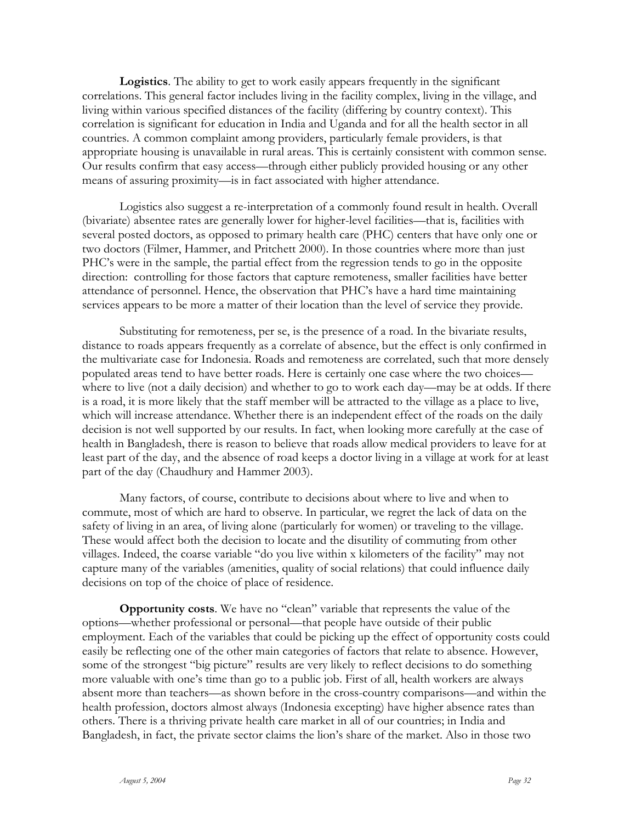**Logistics**. The ability to get to work easily appears frequently in the significant correlations. This general factor includes living in the facility complex, living in the village, and living within various specified distances of the facility (differing by country context). This correlation is significant for education in India and Uganda and for all the health sector in all countries. A common complaint among providers, particularly female providers, is that appropriate housing is unavailable in rural areas. This is certainly consistent with common sense. Our results confirm that easy access—through either publicly provided housing or any other means of assuring proximity—is in fact associated with higher attendance.

Logistics also suggest a re-interpretation of a commonly found result in health. Overall (bivariate) absentee rates are generally lower for higher-level facilities—that is, facilities with several posted doctors, as opposed to primary health care (PHC) centers that have only one or two doctors (Filmer, Hammer, and Pritchett 2000). In those countries where more than just PHC's were in the sample, the partial effect from the regression tends to go in the opposite direction: controlling for those factors that capture remoteness, smaller facilities have better attendance of personnel. Hence, the observation that PHC's have a hard time maintaining services appears to be more a matter of their location than the level of service they provide.

Substituting for remoteness, per se, is the presence of a road. In the bivariate results, distance to roads appears frequently as a correlate of absence, but the effect is only confirmed in the multivariate case for Indonesia. Roads and remoteness are correlated, such that more densely populated areas tend to have better roads. Here is certainly one case where the two choices where to live (not a daily decision) and whether to go to work each day—may be at odds. If there is a road, it is more likely that the staff member will be attracted to the village as a place to live, which will increase attendance. Whether there is an independent effect of the roads on the daily decision is not well supported by our results. In fact, when looking more carefully at the case of health in Bangladesh, there is reason to believe that roads allow medical providers to leave for at least part of the day, and the absence of road keeps a doctor living in a village at work for at least part of the day (Chaudhury and Hammer 2003).

Many factors, of course, contribute to decisions about where to live and when to commute, most of which are hard to observe. In particular, we regret the lack of data on the safety of living in an area, of living alone (particularly for women) or traveling to the village. These would affect both the decision to locate and the disutility of commuting from other villages. Indeed, the coarse variable "do you live within x kilometers of the facility" may not capture many of the variables (amenities, quality of social relations) that could influence daily decisions on top of the choice of place of residence.

**Opportunity costs**. We have no "clean" variable that represents the value of the options—whether professional or personal—that people have outside of their public employment. Each of the variables that could be picking up the effect of opportunity costs could easily be reflecting one of the other main categories of factors that relate to absence. However, some of the strongest "big picture" results are very likely to reflect decisions to do something more valuable with one's time than go to a public job. First of all, health workers are always absent more than teachers—as shown before in the cross-country comparisons—and within the health profession, doctors almost always (Indonesia excepting) have higher absence rates than others. There is a thriving private health care market in all of our countries; in India and Bangladesh, in fact, the private sector claims the lion's share of the market. Also in those two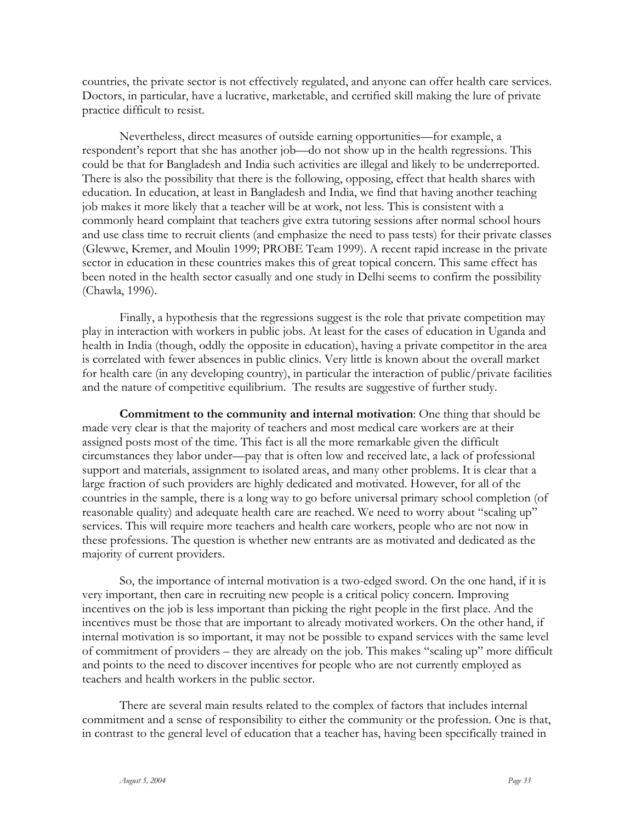countries, the private sector is not effectively regulated, and anyone can offer health care services. Doctors, in particular, have a lucrative, marketable, and certified skill making the lure of private practice difficult to resist.

Nevertheless, direct measures of outside earning opportunities—for example, a respondent's report that she has another job—do not show up in the health regressions. This could be that for Bangladesh and India such activities are illegal and likely to be underreported. There is also the possibility that there is the following, opposing, effect that health shares with education. In education, at least in Bangladesh and India, we find that having another teaching job makes it more likely that a teacher will be at work, not less. This is consistent with a commonly heard complaint that teachers give extra tutoring sessions after normal school hours and use class time to recruit clients (and emphasize the need to pass tests) for their private classes (Glewwe, Kremer, and Moulin 1999; PROBE Team 1999). A recent rapid increase in the private sector in education in these countries makes this of great topical concern. This same effect has been noted in the health sector casually and one study in Delhi seems to confirm the possibility (Chawla, 1996).

Finally, a hypothesis that the regressions suggest is the role that private competition may play in interaction with workers in public jobs. At least for the cases of education in Uganda and health in India (though, oddly the opposite in education), having a private competitor in the area is correlated with fewer absences in public clinics. Very little is known about the overall market for health care (in any developing country), in particular the interaction of public/private facilities and the nature of competitive equilibrium. The results are suggestive of further study.

**Commitment to the community and internal motivation**: One thing that should be made very clear is that the majority of teachers and most medical care workers are at their assigned posts most of the time. This fact is all the more remarkable given the difficult circumstances they labor under—pay that is often low and received late, a lack of professional support and materials, assignment to isolated areas, and many other problems. It is clear that a large fraction of such providers are highly dedicated and motivated. However, for all of the countries in the sample, there is a long way to go before universal primary school completion (of reasonable quality) and adequate health care are reached. We need to worry about "scaling up" services. This will require more teachers and health care workers, people who are not now in these professions. The question is whether new entrants are as motivated and dedicated as the majority of current providers.

So, the importance of internal motivation is a two-edged sword. On the one hand, if it is very important, then care in recruiting new people is a critical policy concern. Improving incentives on the job is less important than picking the right people in the first place. And the incentives must be those that are important to already motivated workers. On the other hand, if internal motivation is so important, it may not be possible to expand services with the same level of commitment of providers – they are already on the job. This makes "scaling up" more difficult and points to the need to discover incentives for people who are not currently employed as teachers and health workers in the public sector.

There are several main results related to the complex of factors that includes internal commitment and a sense of responsibility to either the community or the profession. One is that, in contrast to the general level of education that a teacher has, having been specifically trained in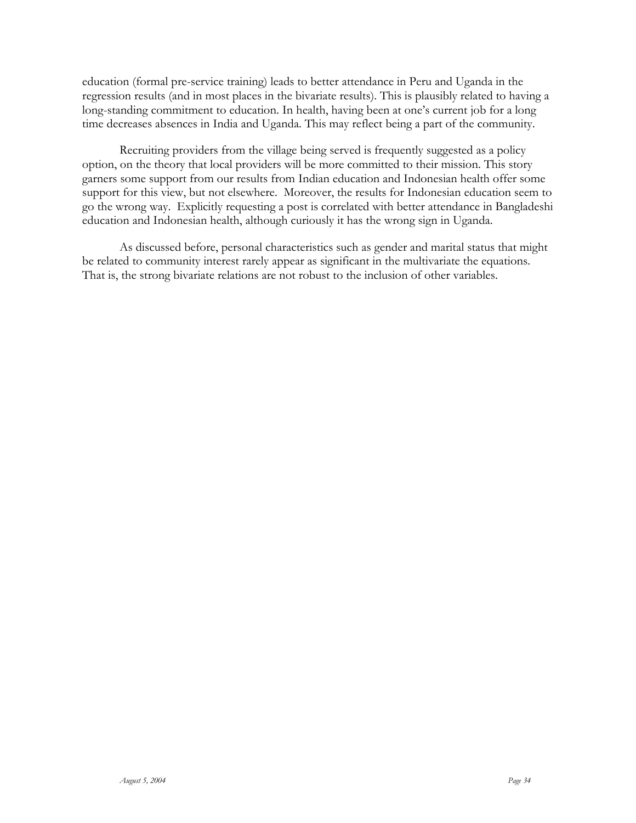education (formal pre-service training) leads to better attendance in Peru and Uganda in the regression results (and in most places in the bivariate results). This is plausibly related to having a long-standing commitment to education. In health, having been at one's current job for a long time decreases absences in India and Uganda. This may reflect being a part of the community.

Recruiting providers from the village being served is frequently suggested as a policy option, on the theory that local providers will be more committed to their mission. This story garners some support from our results from Indian education and Indonesian health offer some support for this view, but not elsewhere. Moreover, the results for Indonesian education seem to go the wrong way. Explicitly requesting a post is correlated with better attendance in Bangladeshi education and Indonesian health, although curiously it has the wrong sign in Uganda.

As discussed before, personal characteristics such as gender and marital status that might be related to community interest rarely appear as significant in the multivariate the equations. That is, the strong bivariate relations are not robust to the inclusion of other variables.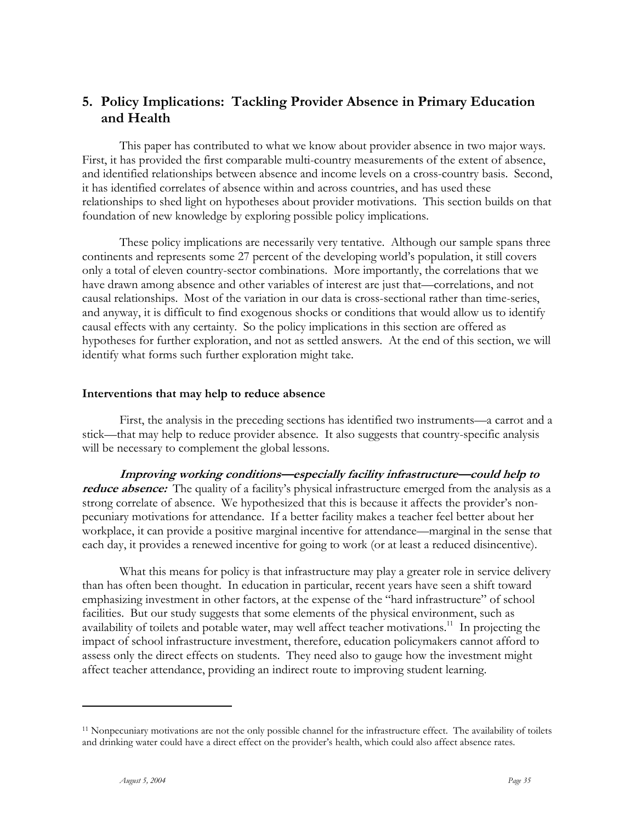## **5. Policy Implications: Tackling Provider Absence in Primary Education and Health**

This paper has contributed to what we know about provider absence in two major ways. First, it has provided the first comparable multi-country measurements of the extent of absence, and identified relationships between absence and income levels on a cross-country basis. Second, it has identified correlates of absence within and across countries, and has used these relationships to shed light on hypotheses about provider motivations. This section builds on that foundation of new knowledge by exploring possible policy implications.

These policy implications are necessarily very tentative. Although our sample spans three continents and represents some 27 percent of the developing world's population, it still covers only a total of eleven country-sector combinations. More importantly, the correlations that we have drawn among absence and other variables of interest are just that—correlations, and not causal relationships. Most of the variation in our data is cross-sectional rather than time-series, and anyway, it is difficult to find exogenous shocks or conditions that would allow us to identify causal effects with any certainty. So the policy implications in this section are offered as hypotheses for further exploration, and not as settled answers. At the end of this section, we will identify what forms such further exploration might take.

#### **Interventions that may help to reduce absence**

First, the analysis in the preceding sections has identified two instruments—a carrot and a stick—that may help to reduce provider absence. It also suggests that country-specific analysis will be necessary to complement the global lessons.

**Improving working conditions—especially facility infrastructure—could help to**  *reduce absence:* The quality of a facility's physical infrastructure emerged from the analysis as a strong correlate of absence. We hypothesized that this is because it affects the provider's nonpecuniary motivations for attendance. If a better facility makes a teacher feel better about her workplace, it can provide a positive marginal incentive for attendance—marginal in the sense that each day, it provides a renewed incentive for going to work (or at least a reduced disincentive).

What this means for policy is that infrastructure may play a greater role in service delivery than has often been thought. In education in particular, recent years have seen a shift toward emphasizing investment in other factors, at the expense of the "hard infrastructure" of school facilities. But our study suggests that some elements of the physical environment, such as availability of toilets and potable water, may well affect teacher motivations.<sup>11</sup> In projecting the impact of school infrastructure investment, therefore, education policymakers cannot afford to assess only the direct effects on students. They need also to gauge how the investment might affect teacher attendance, providing an indirect route to improving student learning.

<sup>11</sup> Nonpecuniary motivations are not the only possible channel for the infrastructure effect. The availability of toilets and drinking water could have a direct effect on the provider's health, which could also affect absence rates.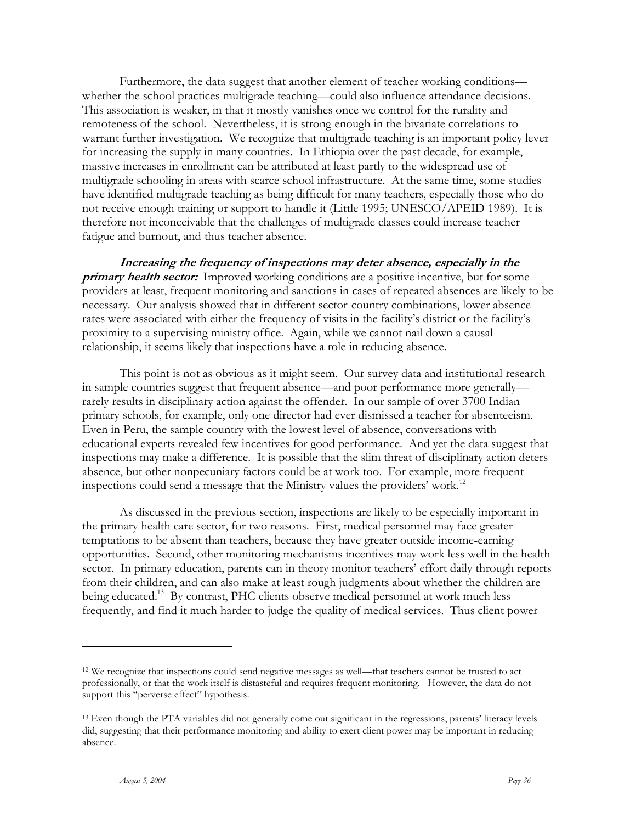Furthermore, the data suggest that another element of teacher working conditions whether the school practices multigrade teaching—could also influence attendance decisions. This association is weaker, in that it mostly vanishes once we control for the rurality and remoteness of the school. Nevertheless, it is strong enough in the bivariate correlations to warrant further investigation. We recognize that multigrade teaching is an important policy lever for increasing the supply in many countries. In Ethiopia over the past decade, for example, massive increases in enrollment can be attributed at least partly to the widespread use of multigrade schooling in areas with scarce school infrastructure. At the same time, some studies have identified multigrade teaching as being difficult for many teachers, especially those who do not receive enough training or support to handle it (Little 1995; UNESCO/APEID 1989). It is therefore not inconceivable that the challenges of multigrade classes could increase teacher fatigue and burnout, and thus teacher absence.

**Increasing the frequency of inspections may deter absence, especially in the primary health sector:** Improved working conditions are a positive incentive, but for some providers at least, frequent monitoring and sanctions in cases of repeated absences are likely to be necessary. Our analysis showed that in different sector-country combinations, lower absence rates were associated with either the frequency of visits in the facility's district or the facility's proximity to a supervising ministry office. Again, while we cannot nail down a causal relationship, it seems likely that inspections have a role in reducing absence.

This point is not as obvious as it might seem. Our survey data and institutional research in sample countries suggest that frequent absence—and poor performance more generally rarely results in disciplinary action against the offender. In our sample of over 3700 Indian primary schools, for example, only one director had ever dismissed a teacher for absenteeism. Even in Peru, the sample country with the lowest level of absence, conversations with educational experts revealed few incentives for good performance. And yet the data suggest that inspections may make a difference. It is possible that the slim threat of disciplinary action deters absence, but other nonpecuniary factors could be at work too. For example, more frequent inspections could send a message that the Ministry values the providers' work.<sup>12</sup>

As discussed in the previous section, inspections are likely to be especially important in the primary health care sector, for two reasons. First, medical personnel may face greater temptations to be absent than teachers, because they have greater outside income-earning opportunities. Second, other monitoring mechanisms incentives may work less well in the health sector. In primary education, parents can in theory monitor teachers' effort daily through reports from their children, and can also make at least rough judgments about whether the children are being educated.<sup>13</sup> By contrast, PHC clients observe medical personnel at work much less frequently, and find it much harder to judge the quality of medical services. Thus client power

<sup>12</sup> We recognize that inspections could send negative messages as well—that teachers cannot be trusted to act professionally, or that the work itself is distasteful and requires frequent monitoring. However, the data do not support this "perverse effect" hypothesis.

<sup>13</sup> Even though the PTA variables did not generally come out significant in the regressions, parents' literacy levels did, suggesting that their performance monitoring and ability to exert client power may be important in reducing absence.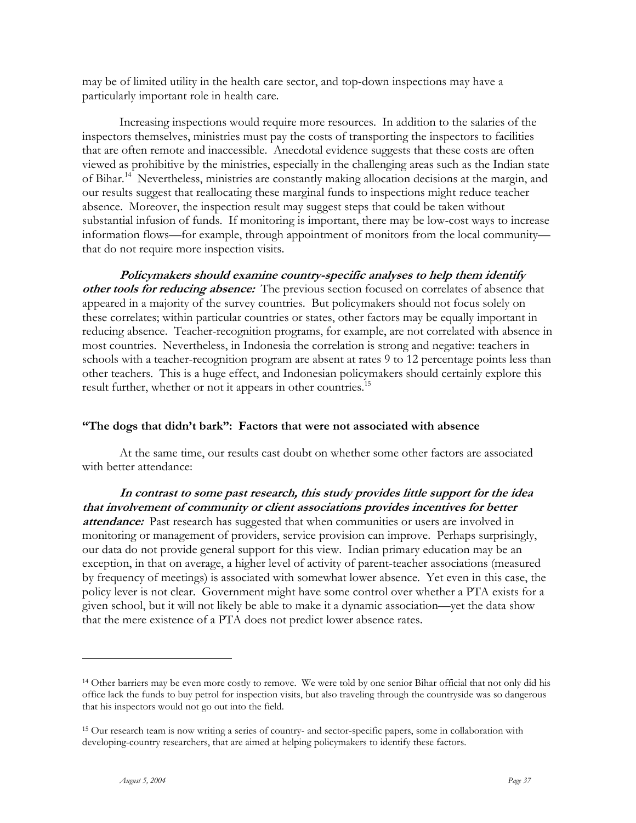may be of limited utility in the health care sector, and top-down inspections may have a particularly important role in health care.

Increasing inspections would require more resources. In addition to the salaries of the inspectors themselves, ministries must pay the costs of transporting the inspectors to facilities that are often remote and inaccessible. Anecdotal evidence suggests that these costs are often viewed as prohibitive by the ministries, especially in the challenging areas such as the Indian state of Bihar.<sup>14</sup> Nevertheless, ministries are constantly making allocation decisions at the margin, and our results suggest that reallocating these marginal funds to inspections might reduce teacher absence. Moreover, the inspection result may suggest steps that could be taken without substantial infusion of funds. If monitoring is important, there may be low-cost ways to increase information flows—for example, through appointment of monitors from the local community that do not require more inspection visits.

**Policymakers should examine country-specific analyses to help them identify other tools for reducing absence:** The previous section focused on correlates of absence that appeared in a majority of the survey countries. But policymakers should not focus solely on these correlates; within particular countries or states, other factors may be equally important in reducing absence. Teacher-recognition programs, for example, are not correlated with absence in most countries. Nevertheless, in Indonesia the correlation is strong and negative: teachers in schools with a teacher-recognition program are absent at rates 9 to 12 percentage points less than other teachers. This is a huge effect, and Indonesian policymakers should certainly explore this result further, whether or not it appears in other countries.<sup>15</sup>

### **"The dogs that didn't bark": Factors that were not associated with absence**

At the same time, our results cast doubt on whether some other factors are associated with better attendance:

**In contrast to some past research, this study provides little support for the idea that involvement of community or client associations provides incentives for better attendance:** Past research has suggested that when communities or users are involved in monitoring or management of providers, service provision can improve. Perhaps surprisingly, our data do not provide general support for this view. Indian primary education may be an exception, in that on average, a higher level of activity of parent-teacher associations (measured by frequency of meetings) is associated with somewhat lower absence. Yet even in this case, the policy lever is not clear. Government might have some control over whether a PTA exists for a given school, but it will not likely be able to make it a dynamic association—yet the data show that the mere existence of a PTA does not predict lower absence rates.

<sup>&</sup>lt;sup>14</sup> Other barriers may be even more costly to remove. We were told by one senior Bihar official that not only did his office lack the funds to buy petrol for inspection visits, but also traveling through the countryside was so dangerous that his inspectors would not go out into the field.

<sup>15</sup> Our research team is now writing a series of country- and sector-specific papers, some in collaboration with developing-country researchers, that are aimed at helping policymakers to identify these factors.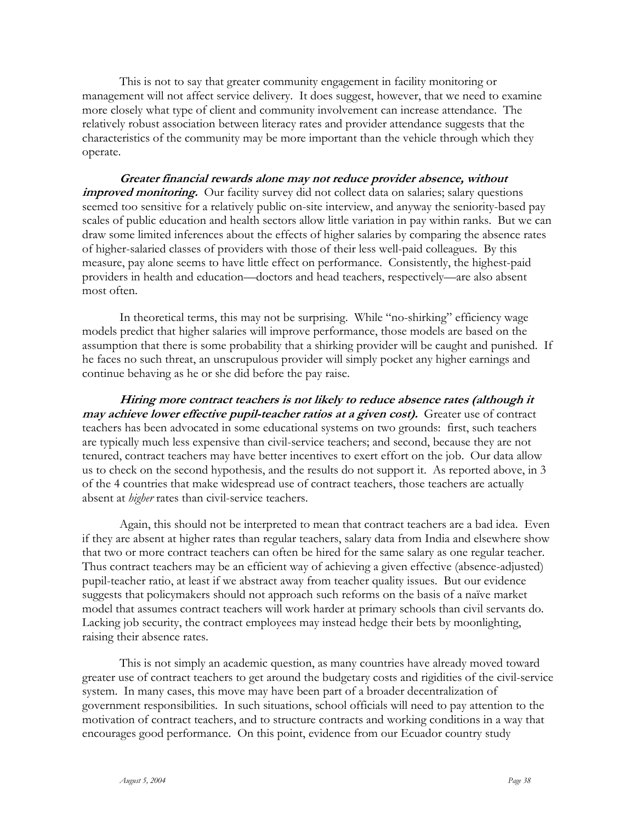This is not to say that greater community engagement in facility monitoring or management will not affect service delivery. It does suggest, however, that we need to examine more closely what type of client and community involvement can increase attendance. The relatively robust association between literacy rates and provider attendance suggests that the characteristics of the community may be more important than the vehicle through which they operate.

**Greater financial rewards alone may not reduce provider absence, without**  *improved monitoring.* Our facility survey did not collect data on salaries; salary questions seemed too sensitive for a relatively public on-site interview, and anyway the seniority-based pay scales of public education and health sectors allow little variation in pay within ranks. But we can draw some limited inferences about the effects of higher salaries by comparing the absence rates of higher-salaried classes of providers with those of their less well-paid colleagues. By this measure, pay alone seems to have little effect on performance. Consistently, the highest-paid providers in health and education—doctors and head teachers, respectively—are also absent most often.

In theoretical terms, this may not be surprising. While "no-shirking" efficiency wage models predict that higher salaries will improve performance, those models are based on the assumption that there is some probability that a shirking provider will be caught and punished. If he faces no such threat, an unscrupulous provider will simply pocket any higher earnings and continue behaving as he or she did before the pay raise.

**Hiring more contract teachers is not likely to reduce absence rates (although it may achieve lower effective pupil-teacher ratios at a given cost).** Greater use of contract teachers has been advocated in some educational systems on two grounds: first, such teachers are typically much less expensive than civil-service teachers; and second, because they are not tenured, contract teachers may have better incentives to exert effort on the job. Our data allow us to check on the second hypothesis, and the results do not support it. As reported above, in 3 of the 4 countries that make widespread use of contract teachers, those teachers are actually absent at *higher* rates than civil-service teachers.

Again, this should not be interpreted to mean that contract teachers are a bad idea. Even if they are absent at higher rates than regular teachers, salary data from India and elsewhere show that two or more contract teachers can often be hired for the same salary as one regular teacher. Thus contract teachers may be an efficient way of achieving a given effective (absence-adjusted) pupil-teacher ratio, at least if we abstract away from teacher quality issues. But our evidence suggests that policymakers should not approach such reforms on the basis of a naïve market model that assumes contract teachers will work harder at primary schools than civil servants do. Lacking job security, the contract employees may instead hedge their bets by moonlighting, raising their absence rates.

This is not simply an academic question, as many countries have already moved toward greater use of contract teachers to get around the budgetary costs and rigidities of the civil-service system. In many cases, this move may have been part of a broader decentralization of government responsibilities. In such situations, school officials will need to pay attention to the motivation of contract teachers, and to structure contracts and working conditions in a way that encourages good performance. On this point, evidence from our Ecuador country study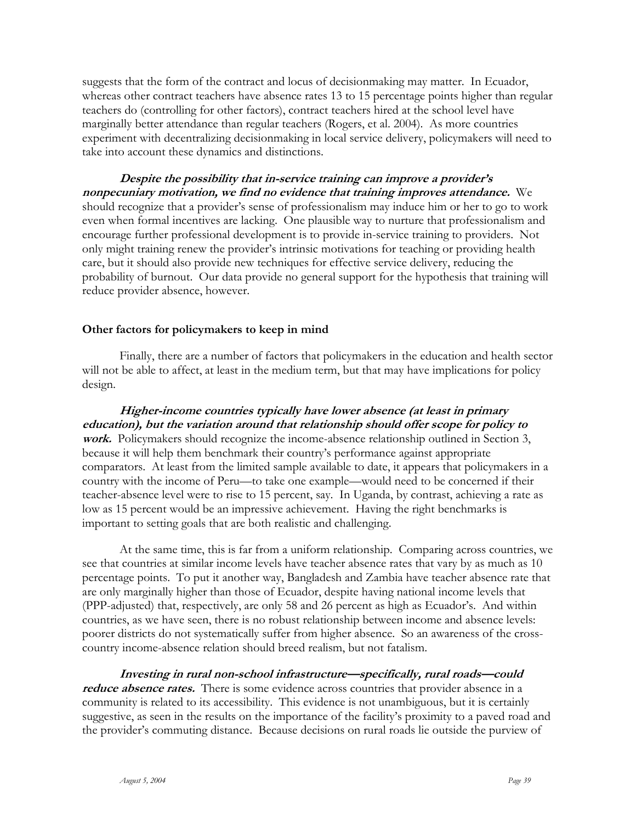suggests that the form of the contract and locus of decisionmaking may matter. In Ecuador, whereas other contract teachers have absence rates 13 to 15 percentage points higher than regular teachers do (controlling for other factors), contract teachers hired at the school level have marginally better attendance than regular teachers (Rogers, et al. 2004). As more countries experiment with decentralizing decisionmaking in local service delivery, policymakers will need to take into account these dynamics and distinctions.

**Despite the possibility that in-service training can improve a provider's nonpecuniary motivation, we find no evidence that training improves attendance.** We should recognize that a provider's sense of professionalism may induce him or her to go to work even when formal incentives are lacking. One plausible way to nurture that professionalism and encourage further professional development is to provide in-service training to providers. Not only might training renew the provider's intrinsic motivations for teaching or providing health care, but it should also provide new techniques for effective service delivery, reducing the probability of burnout. Our data provide no general support for the hypothesis that training will reduce provider absence, however.

#### **Other factors for policymakers to keep in mind**

Finally, there are a number of factors that policymakers in the education and health sector will not be able to affect, at least in the medium term, but that may have implications for policy design.

**Higher-income countries typically have lower absence (at least in primary education), but the variation around that relationship should offer scope for policy to work.** Policymakers should recognize the income-absence relationship outlined in Section 3, because it will help them benchmark their country's performance against appropriate comparators. At least from the limited sample available to date, it appears that policymakers in a country with the income of Peru—to take one example—would need to be concerned if their teacher-absence level were to rise to 15 percent, say. In Uganda, by contrast, achieving a rate as low as 15 percent would be an impressive achievement. Having the right benchmarks is important to setting goals that are both realistic and challenging.

At the same time, this is far from a uniform relationship. Comparing across countries, we see that countries at similar income levels have teacher absence rates that vary by as much as 10 percentage points. To put it another way, Bangladesh and Zambia have teacher absence rate that are only marginally higher than those of Ecuador, despite having national income levels that (PPP-adjusted) that, respectively, are only 58 and 26 percent as high as Ecuador's. And within countries, as we have seen, there is no robust relationship between income and absence levels: poorer districts do not systematically suffer from higher absence. So an awareness of the crosscountry income-absence relation should breed realism, but not fatalism.

**Investing in rural non-school infrastructure—specifically, rural roads—could**  *reduce absence rates.* There is some evidence across countries that provider absence in a community is related to its accessibility. This evidence is not unambiguous, but it is certainly suggestive, as seen in the results on the importance of the facility's proximity to a paved road and the provider's commuting distance. Because decisions on rural roads lie outside the purview of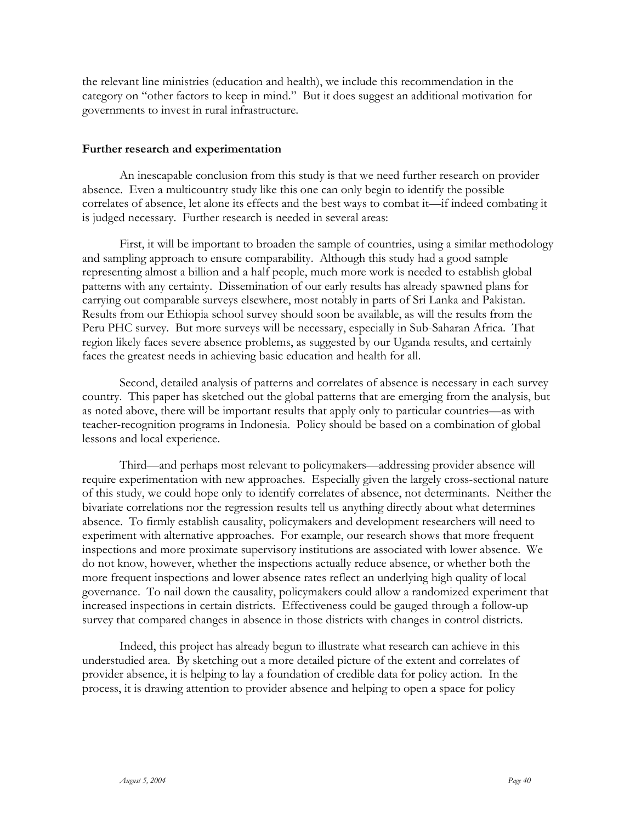the relevant line ministries (education and health), we include this recommendation in the category on "other factors to keep in mind." But it does suggest an additional motivation for governments to invest in rural infrastructure.

#### **Further research and experimentation**

An inescapable conclusion from this study is that we need further research on provider absence. Even a multicountry study like this one can only begin to identify the possible correlates of absence, let alone its effects and the best ways to combat it—if indeed combating it is judged necessary. Further research is needed in several areas:

First, it will be important to broaden the sample of countries, using a similar methodology and sampling approach to ensure comparability. Although this study had a good sample representing almost a billion and a half people, much more work is needed to establish global patterns with any certainty. Dissemination of our early results has already spawned plans for carrying out comparable surveys elsewhere, most notably in parts of Sri Lanka and Pakistan. Results from our Ethiopia school survey should soon be available, as will the results from the Peru PHC survey. But more surveys will be necessary, especially in Sub-Saharan Africa. That region likely faces severe absence problems, as suggested by our Uganda results, and certainly faces the greatest needs in achieving basic education and health for all.

Second, detailed analysis of patterns and correlates of absence is necessary in each survey country. This paper has sketched out the global patterns that are emerging from the analysis, but as noted above, there will be important results that apply only to particular countries—as with teacher-recognition programs in Indonesia. Policy should be based on a combination of global lessons and local experience.

Third—and perhaps most relevant to policymakers—addressing provider absence will require experimentation with new approaches. Especially given the largely cross-sectional nature of this study, we could hope only to identify correlates of absence, not determinants. Neither the bivariate correlations nor the regression results tell us anything directly about what determines absence. To firmly establish causality, policymakers and development researchers will need to experiment with alternative approaches. For example, our research shows that more frequent inspections and more proximate supervisory institutions are associated with lower absence. We do not know, however, whether the inspections actually reduce absence, or whether both the more frequent inspections and lower absence rates reflect an underlying high quality of local governance. To nail down the causality, policymakers could allow a randomized experiment that increased inspections in certain districts. Effectiveness could be gauged through a follow-up survey that compared changes in absence in those districts with changes in control districts.

Indeed, this project has already begun to illustrate what research can achieve in this understudied area. By sketching out a more detailed picture of the extent and correlates of provider absence, it is helping to lay a foundation of credible data for policy action. In the process, it is drawing attention to provider absence and helping to open a space for policy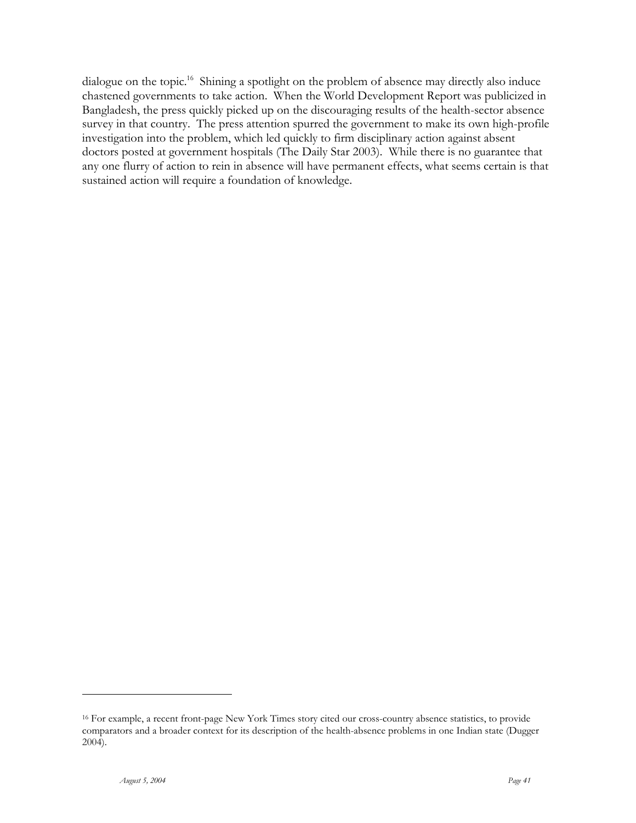dialogue on the topic.<sup>16</sup> Shining a spotlight on the problem of absence may directly also induce chastened governments to take action. When the World Development Report was publicized in Bangladesh, the press quickly picked up on the discouraging results of the health-sector absence survey in that country. The press attention spurred the government to make its own high-profile investigation into the problem, which led quickly to firm disciplinary action against absent doctors posted at government hospitals (The Daily Star 2003). While there is no guarantee that any one flurry of action to rein in absence will have permanent effects, what seems certain is that sustained action will require a foundation of knowledge.

<sup>16</sup> For example, a recent front-page New York Times story cited our cross-country absence statistics, to provide comparators and a broader context for its description of the health-absence problems in one Indian state (Dugger 2004).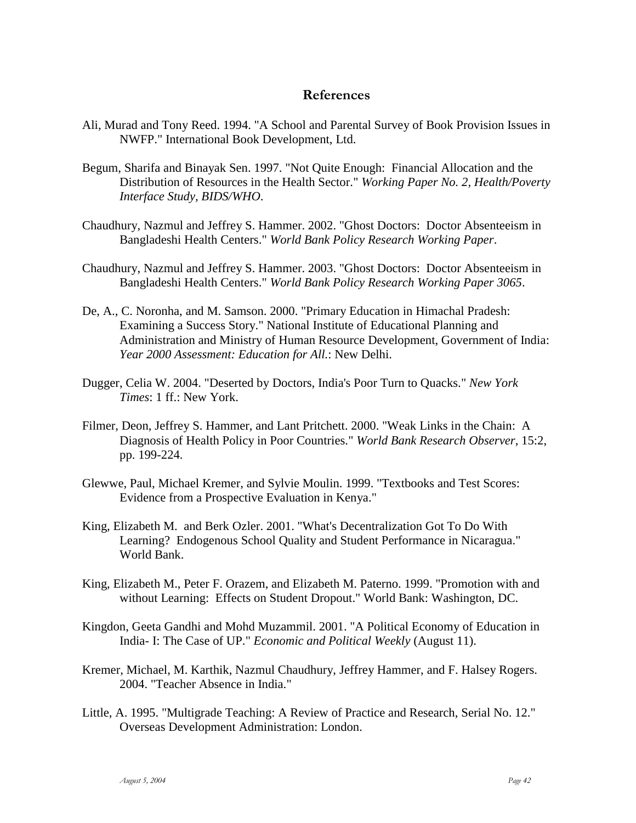### **References**

- Ali, Murad and Tony Reed. 1994. "A School and Parental Survey of Book Provision Issues in NWFP." International Book Development, Ltd.
- Begum, Sharifa and Binayak Sen. 1997. "Not Quite Enough: Financial Allocation and the Distribution of Resources in the Health Sector." *Working Paper No. 2, Health/Poverty Interface Study, BIDS/WHO*.
- Chaudhury, Nazmul and Jeffrey S. Hammer. 2002. "Ghost Doctors: Doctor Absenteeism in Bangladeshi Health Centers." *World Bank Policy Research Working Paper*.
- Chaudhury, Nazmul and Jeffrey S. Hammer. 2003. "Ghost Doctors: Doctor Absenteeism in Bangladeshi Health Centers." *World Bank Policy Research Working Paper 3065*.
- De, A., C. Noronha, and M. Samson. 2000. "Primary Education in Himachal Pradesh: Examining a Success Story." National Institute of Educational Planning and Administration and Ministry of Human Resource Development, Government of India: *Year 2000 Assessment: Education for All.*: New Delhi.
- Dugger, Celia W. 2004. "Deserted by Doctors, India's Poor Turn to Quacks." *New York Times*: 1 ff.: New York.
- Filmer, Deon, Jeffrey S. Hammer, and Lant Pritchett. 2000. "Weak Links in the Chain: A Diagnosis of Health Policy in Poor Countries." *World Bank Research Observer*, 15:2, pp. 199-224.
- Glewwe, Paul, Michael Kremer, and Sylvie Moulin. 1999. "Textbooks and Test Scores: Evidence from a Prospective Evaluation in Kenya."
- King, Elizabeth M. and Berk Ozler. 2001. "What's Decentralization Got To Do With Learning? Endogenous School Quality and Student Performance in Nicaragua." World Bank.
- King, Elizabeth M., Peter F. Orazem, and Elizabeth M. Paterno. 1999. "Promotion with and without Learning: Effects on Student Dropout." World Bank: Washington, DC.
- Kingdon, Geeta Gandhi and Mohd Muzammil. 2001. "A Political Economy of Education in India- I: The Case of UP." *Economic and Political Weekly* (August 11).
- Kremer, Michael, M. Karthik, Nazmul Chaudhury, Jeffrey Hammer, and F. Halsey Rogers. 2004. "Teacher Absence in India."
- Little, A. 1995. "Multigrade Teaching: A Review of Practice and Research, Serial No. 12." Overseas Development Administration: London.